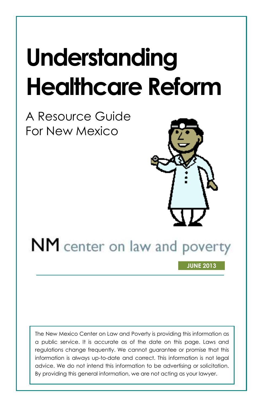# **Understanding Healthcare Reform**

A Resource Guide For New Mexico



# NM center on law and poverty

**JUNE 2013**

The New Mexico Center on Law and Poverty is providing this information as a public service. It is accurate as of the date on this page. Laws and regulations change frequently. We cannot guarantee or promise that this information is always up-to-date and correct. This information is not legal advice. We do not intend this information to be advertising or solicitation. By providing this general information, we are not acting as your lawyer.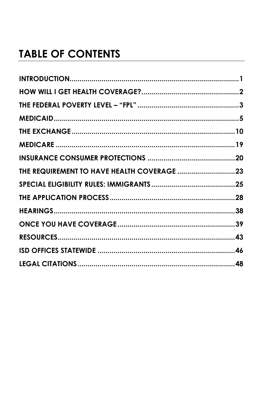# **TABLE OF CONTENTS**

| THE REQUIREMENT TO HAVE HEALTH COVERAGE 23 |  |
|--------------------------------------------|--|
|                                            |  |
|                                            |  |
|                                            |  |
|                                            |  |
|                                            |  |
|                                            |  |
|                                            |  |
|                                            |  |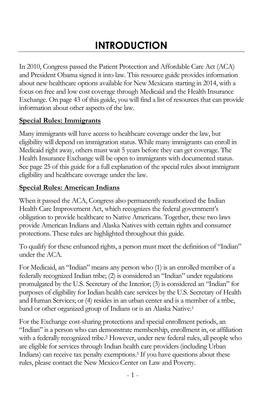# **INTRODUCTION**

<span id="page-2-0"></span>In 2010, Congress passed the Patient Protection and Affordable Care Act (ACA) and President Obama signed it into law. This resource guide provides information about new healthcare options available for New Mexicans starting in 2014, with a focus on free and low cost coverage through Medicaid and the Health Insurance Exchange. On page [43](#page-44-0) of this guide, you will find a list of resources that can provide information about other aspects of the law.

#### **Special Rules: Immigrants**

Many immigrants will have access to healthcare coverage under the law, but eligibility will depend on immigration status. While many immigrants can enroll in Medicaid right away, others must wait 5 years before they can get coverage. The Health Insurance Exchange will be open to immigrants with documented status. See page [25](#page-26-0) of this guide for a full explanation of the special rules about immigrant eligibility and healthcare coverage under the law.

#### <span id="page-2-1"></span>**Special Rules: American Indians**

When it passed the ACA, Congress also permanently reauthorized the Indian Health Care Improvement Act, which recognizes the federal government's obligation to provide healthcare to Native Americans. Together, these two laws provide American Indians and Alaska Natives with certain rights and consumer protections. These rules are highlighted throughout this guide.

To qualify for these enhanced rights, a person must meet the definition of "Indian" under the ACA.

For Medicaid, an "Indian" means any person who (1) is an enrolled member of a federally recognized Indian tribe; (2) is considered an "Indian" under regulations promulgated by the U.S. Secretary of the Interior; (3) is considered an "Indian" for purposes of eligibility for Indian health care services by the U.S. Secretary of Health and Human Services; or (4) resides in an urban center and is a member of a tribe, band or other organized group of Indians or is an Alaska Native.<sup>1</sup>

For the Exchange cost-sharing protections and special enrollment periods, an "Indian" is a person who can demonstrate membership, enrollment in, or affiliation with a federally recognized tribe.<sup>2</sup> However, under new federal rules, all people who are eligible for services through Indian health care providers (including Urban Indians) can receive tax penalty exemptions.<sup>3</sup> If you have questions about these rules, please contact the New Mexico Center on Law and Poverty.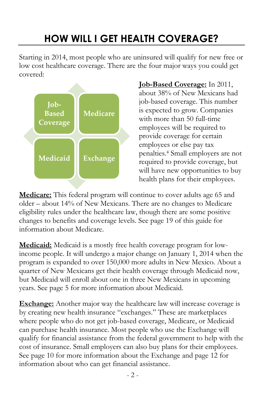# **HOW WILL I GET HEALTH COVERAGE?**

<span id="page-3-0"></span>Starting in 2014, most people who are uninsured will qualify for new free or low cost healthcare coverage. There are the four major ways you could get covered:



**Job-Based Coverage:** In 2011, about 38% of New Mexicans had job-based coverage. This number is expected to grow. Companies with more than 50 full-time employees will be required to provide coverage for certain employees or else pay tax penalties. <sup>4</sup> Small employers are not required to provide coverage, but will have new opportunities to buy health plans for their employees.

**Medicare:** This federal program will continue to cover adults age 65 and older – about 14% of New Mexicans. There are no changes to Medicare eligibility rules under the healthcare law, though there are some positive changes to benefits and coverage levels. See page [19](#page-19-0) of this guide for information about Medicare.

**Medicaid:** Medicaid is a mostly free health coverage program for lowincome people. It will undergo a major change on January 1, 2014 when the program is expanded to over 150,000 more adults in New Mexico. About a quarter of New Mexicans get their health coverage through Medicaid now, but Medicaid will enroll about one in three New Mexicans in upcoming years. See page [5](#page-5-0) for more information about Medicaid.

<span id="page-3-1"></span>**Exchange:** Another major way the healthcare law will increase coverage is by creating new health insurance "exchanges." These are marketplaces where people who do not get job-based coverage, Medicare, or Medicaid can purchase health insurance. Most people who use the Exchange will qualify for financial assistance from the federal government to help with the cost of insurance. Small employers can also buy plans for their employees. See page [10](#page-10-0) for more information about the Exchange and page [12](#page-13-0) for information about who can get financial assistance.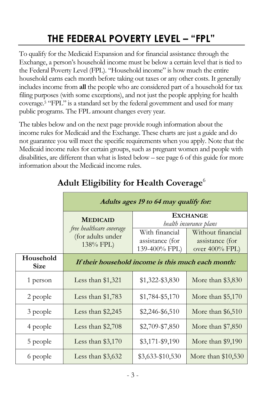# **THE FEDERAL POVERTY LEVEL – "FPL"**

To qualify for the Medicaid Expansion and for financial assistance through the Exchange, a person's household income must be below a certain level that is tied to the Federal Poverty Level (FPL). "Household income" is how much the entire household earns each month before taking out taxes or any other costs. It generally includes income from **all** the people who are considered part of a household for tax filing purposes (with some exceptions), and not just the people applying for health coverage.<sup>5</sup> "FPL" is a standard set by the federal government and used for many public programs. The FPL amount changes every year.

The tables below and on the next page provide rough information about the income rules for Medicaid and the Exchange. These charts are just a guide and do not guarantee you will meet the specific requirements when you apply. Note that the Medicaid income rules for certain groups, such as pregnant women and people with disabilities, are different than what is listed below – see pag[e 6](#page-7-0) of this guide for more information about the Medicaid income rules.

|                          | Adults ages 19 to 64 may qualify for:                      |                                                    |                                                        |
|--------------------------|------------------------------------------------------------|----------------------------------------------------|--------------------------------------------------------|
|                          | <b>MEDICAID</b>                                            | <b>EXCHANGE</b><br>health insurance plans          |                                                        |
|                          | free healthcare coverage<br>(for adults under<br>138% FPL) | With financial<br>assistance (for<br>139-400% FPL) | Without financial<br>assistance (for<br>over 400% FPL) |
| Household<br><b>Size</b> | If their household income is this much each month:         |                                                    |                                                        |
| 1 person                 | Less than $$1,321$                                         | \$1,322-\$3,830                                    | More than $$3,830$                                     |
| 2 people                 | Less than $$1,783$                                         | \$1,784-\$5,170                                    | More than $$5,170$                                     |
| 3 people                 | Less than $$2,245$                                         | $$2,246 - $6,510$                                  | More than $$6,510$                                     |
| 4 people                 | Less than $$2,708$                                         | \$2,709-\$7,850                                    | More than $$7,850$                                     |
| 5 people                 | Less than $$3,170$                                         | $$3,171-\$9,190$                                   | More than $$9,190$                                     |
| 6 people                 | Less than $$3,632$                                         | \$3,633-\$10,530                                   | More than \$10,530                                     |

# **Adult Eligibility for Health Coverage**<sup>6</sup>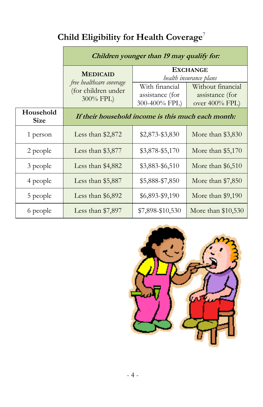# **Child Eligibility for Health Coverage**<sup>7</sup>

|                          | Children younger than 19 may qualify for:                    |                                                    |                                                        |
|--------------------------|--------------------------------------------------------------|----------------------------------------------------|--------------------------------------------------------|
|                          | <b>MEDICAID</b>                                              | <b>EXCHANGE</b><br><i>health insurance plans</i>   |                                                        |
|                          | free healthcare coverage<br>(for children under<br>300% FPL) | With financial<br>assistance (for<br>300-400% FPL) | Without financial<br>assistance (for<br>over 400% FPL) |
| Household<br><b>Size</b> | If their household income is this much each month:           |                                                    |                                                        |
| 1 person                 | Less than $$2,872$                                           | \$2,873-\$3,830                                    | More than $$3,830$                                     |
| 2 people                 | Less than $$3,877$                                           | \$3,878-\$5,170                                    | More than $$5,170$                                     |
| 3 people                 | Less than \$4,882                                            | \$3,883-\$6,510                                    | More than \$6,510                                      |
| 4 people                 | Less than \$5,887                                            | \$5,888-\$7,850                                    | More than $$7,850$                                     |
| 5 people                 | Less than $$6,892$                                           | \$6,893-\$9,190                                    | More than \$9,190                                      |
| 6 people                 | Less than $$7,897$                                           | \$7,898-\$10,530                                   | More than $$10,530$                                    |

<span id="page-5-0"></span>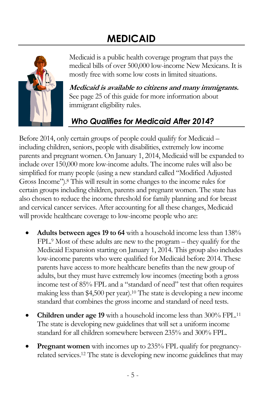# **MEDICAID**



Medicaid is a public health coverage program that pays the medical bills of over 500,000 low-income New Mexicans. It is mostly free with some low costs in limited situations.

**Medicaid is available to citizens and many immigrants.**  See pag[e 25](#page-26-0) of this guide for more information about immigrant eligibility rules.

# *Who Qualifies for Medicaid After 2014?*

Before 2014, only certain groups of people could qualify for Medicaid – including children, seniors, people with disabilities, extremely low income parents and pregnant women. On January 1, 2014, Medicaid will be expanded to include over 150,000 more low-income adults. The income rules will also be simplified for many people (using a new standard called "Modified Adjusted Gross Income"). <sup>8</sup> This will result in some changes to the income rules for certain groups including children, parents and pregnant women. The state has also chosen to reduce the income threshold for family planning and for breast and cervical cancer services. After accounting for all these changes, Medicaid will provide healthcare coverage to low-income people who are:

- **Adults between ages 19 to 64** with a household income less than 138% FPL.<sup>9</sup> Most of these adults are new to the program – they qualify for the Medicaid Expansion starting on January 1, 2014. This group also includes low-income parents who were qualified for Medicaid before 2014. These parents have access to more healthcare benefits than the new group of adults, but they must have extremely low incomes (meeting both a gross income test of 85% FPL and a "standard of need" test that often requires making less than \$4,500 per year). <sup>10</sup> The state is developing a new income standard that combines the gross income and standard of need tests.
- **Children under age 19** with a household income less than 300% FPL.<sup>11</sup> The state is developing new guidelines that will set a uniform income standard for all children somewhere between 235% and 300% FPL.
- **Pregnant women** with incomes up to 235% FPL qualify for pregnancyrelated services.<sup>12</sup> The state is developing new income guidelines that may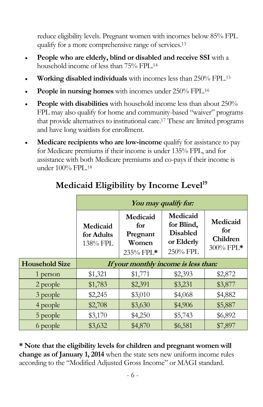reduce eligibility levels. Pregnant women with incomes below 85% FPL qualify for a more comprehensive range of services.<sup>13</sup>

- **People who are elderly, blind or disabled and receive SSI** with a household income of less than 75% FPL. 14
- **Working disabled individuals** with incomes less than 250% FPL. 15
- **People in nursing homes** with incomes under 250% FPL.<sup>16</sup>
- **People with disabilities** with household income less than about 250% FPL may also qualify for home and community-based "waiver" programs that provide alternatives to institutional care.<sup>17</sup> These are limited programs and have long waitlists for enrollment.
- **Medicare recipients who are low-income** qualify for assistance to pay for Medicare premiums if their income is under 135% FPL, and for assistance with both Medicare premiums and co-pays if their income is under 100% FPL.<sup>18</sup>

<span id="page-7-0"></span>

|                       | You may qualify for:                 |                                                   |                                                                     |                                          |
|-----------------------|--------------------------------------|---------------------------------------------------|---------------------------------------------------------------------|------------------------------------------|
|                       | Medicaid<br>for Adults<br>138% FPL   | Medicaid<br>for<br>Pregnant<br>Women<br>235% FPL* | Medicaid<br>for Blind,<br><b>Disabled</b><br>or Elderly<br>250% FPL | Medicaid<br>for<br>Children<br>300% FPL* |
| <b>Household Size</b> | If your monthly income is less than: |                                                   |                                                                     |                                          |
| 1 person              | \$1,321                              | \$1,771                                           | \$2,393                                                             | \$2,872                                  |
| 2 people              | \$1,783                              | \$2,391                                           | \$3,231                                                             | \$3,877                                  |
| 3 people              | \$2,245                              | \$3,010                                           | \$4,068                                                             | \$4,882                                  |
| 4 people              | \$2,708                              | \$3,630                                           | \$4,906                                                             | \$5,887                                  |
| 5 people              | \$3,170                              | \$4,250                                           | \$5,743                                                             | \$6,892                                  |
| 6 people              | \$3,632                              | \$4,870                                           | \$6,581                                                             | \$7,897                                  |

# **Medicaid Eligibility by Income Level<sup>19</sup>**

**\* Note that the eligibility levels for children and pregnant women will change as of January 1, 2014** when the state sets new uniform income rules according to the "Modified Adjusted Gross Income" or MAGI standard.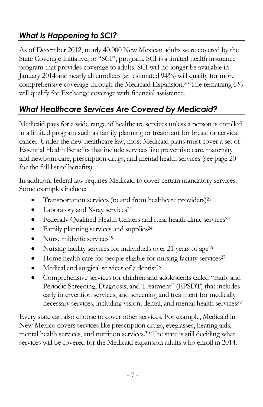# *What Is Happening to SCI?*

As of December 2012, nearly 40,000 New Mexican adults were covered by the State Coverage Initiative, or "SCI", program. SCI is a limited health insurance program that provides coverage to adults. SCI will no longer be available in January 2014 and nearly all enrollees (an estimated 94%) will qualify for more comprehensive coverage through the Medicaid Expansion.<sup>20</sup> The remaining 6% will qualify for Exchange coverage with financial assistance.

# *What Healthcare Services Are Covered by Medicaid?*

Medicaid pays for a wide range of healthcare services unless a person is enrolled in a limited program such as family planning or treatment for breast or cervical cancer. Under the new healthcare law, most Medicaid plans must cover a set of Essential Health Benefits that include services like preventive care, maternity and newborn care, prescription drugs, and mental health services (see page [20](#page-21-0) for the full list of benefits).

In addition, federal law requires Medicaid to cover certain mandatory services. Some examples include:

- Transportation services (to and from healthcare providers) 21
- Laboratory and X-ray services<sup>22</sup>
- Federally Qualified Health Centers and rural health clinic services<sup>23</sup>
- Family planning services and supplies<sup>24</sup>
- $\bullet$  Nurse midwife services<sup>25</sup>
- Nursing facility services for individuals over 21 years of age<sup>26</sup>
- $\bullet$  Home health care for people eligible for nursing facility services<sup>27</sup>
- Medical and surgical services of a dentist<sup>28</sup>
- Comprehensive services for children and adolescents called "Early and Periodic Screening, Diagnosis, and Treatment" (EPSDT) that includes early intervention services, and screening and treatment for medically necessary services, including vision, dental, and mental health services<sup>29</sup>

Every state can also choose to cover other services. For example, Medicaid in New Mexico covers services like prescription drugs, eyeglasses, hearing aids, mental health services, and nutrition services.<sup>30</sup> The state is still deciding what services will be covered for the Medicaid expansion adults who enroll in 2014.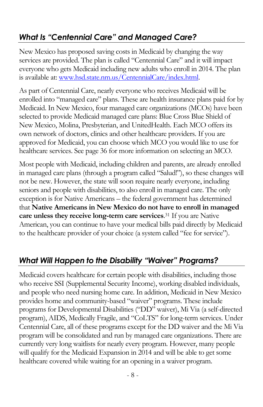# *What Is "Centennial Care" and Managed Care?*

New Mexico has proposed saving costs in Medicaid by changing the way services are provided. The plan is called "Centennial Care" and it will impact everyone who gets Medicaid including new adults who enroll in 2014. The plan is available at[: www.hsd.state.nm.us/CentennialCare/index.html.](http://www.hsd.state.nm.us/CentennialCare/index.html)

As part of Centennial Care, nearly everyone who receives Medicaid will be enrolled into "managed care" plans. These are health insurance plans paid for by Medicaid. In New Mexico, four managed care organizations (MCOs) have been selected to provide Medicaid managed care plans: Blue Cross Blue Shield of New Mexico, Molina, Presbyterian, and UnitedHealth. Each MCO offers its own network of doctors, clinics and other healthcare providers. If you are approved for Medicaid, you can choose which MCO you would like to use for healthcare services. See page [36](#page-37-0) for more information on selecting an MCO.

Most people with Medicaid, including children and parents, are already enrolled in managed care plans (through a program called "Salud!"), so these changes will not be new. However, the state will soon require nearly everyone, including seniors and people with disabilities, to also enroll in managed care. The only exception is for Native Americans – the federal government has determined that **Native Americans in New Mexico do not have to enroll in managed care unless they receive long-term care services**. <sup>31</sup> If you are Native American, you can continue to have your medical bills paid directly by Medicaid to the healthcare provider of your choice (a system called "fee for service").

### *What Will Happen to the Disability "Waiver" Programs?*

Medicaid covers healthcare for certain people with disabilities, including those who receive SSI (Supplemental Security Income), working disabled individuals, and people who need nursing home care. In addition, Medicaid in New Mexico provides home and community-based "waiver" programs. These include programs for Developmental Disabilities ("DD" waiver), Mi Via (a self-directed program), AIDS, Medically Fragile, and "CoLTS" for long-term services. Under Centennial Care, all of these programs except for the DD waiver and the Mi Via program will be consolidated and run by managed care organizations. There are currently very long waitlists for nearly every program. However, many people will qualify for the Medicaid Expansion in 2014 and will be able to get some healthcare covered while waiting for an opening in a waiver program.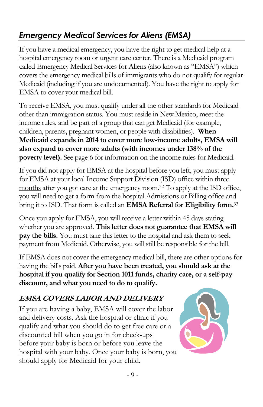# <span id="page-10-1"></span>*Emergency Medical Services for Aliens (EMSA)*

If you have a medical emergency, you have the right to get medical help at a hospital emergency room or urgent care center. There is a Medicaid program called Emergency Medical Services for Aliens (also known as "EMSA") which covers the emergency medical bills of immigrants who do not qualify for regular Medicaid (including if you are undocumented). You have the right to apply for EMSA to cover your medical bill.

To receive EMSA, you must qualify under all the other standards for Medicaid other than immigration status. You must reside in New Mexico, meet the income rules, and be part of a group that can get Medicaid (for example, children, parents, pregnant women, or people with disabilities). **When Medicaid expands in 2014 to cover more low-income adults, EMSA will also expand to cover more adults (with incomes under 138% of the poverty level).** See pag[e 6](#page-7-0) for information on the income rules for Medicaid.

If you did not apply for EMSA at the hospital before you left, you must apply for EMSA at your local Income Support Division (ISD) office within three months after you got care at the emergency room.<sup>32</sup> To apply at the ISD office, you will need to get a form from the hospital Admissions or Billing office and bring it to ISD. That form is called an **EMSA Referral for Eligibility form.** 33

Once you apply for EMSA, you will receive a letter within 45 days stating whether you are approved. **This letter does not guarantee that EMSA will pay the bills.** You must take this letter to the hospital and ask them to seek payment from Medicaid. Otherwise, you will still be responsible for the bill.

If EMSA does not cover the emergency medical bill, there are other options for having the bills paid. **After you have been treated, you should ask at the hospital if you qualify for Section 1011 funds, charity care, or a self-pay discount, and what you need to do to qualify.**

### **EMSA COVERS LABOR AND DELIVERY**

If you are having a baby, EMSA will cover the labor and delivery costs. Ask the hospital or clinic if you qualify and what you should do to get free care or a discounted bill when you go in for check-ups before your baby is born or before you leave the hospital with your baby. Once your baby is born, you should apply for Medicaid for your child.

<span id="page-10-0"></span>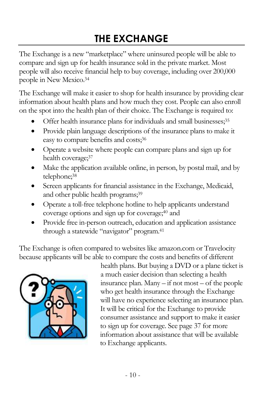# **THE EXCHANGE**

<span id="page-11-0"></span>The Exchange is a new "marketplace" where uninsured people will be able to compare and sign up for health insurance sold in the private market. Most people will also receive financial help to buy coverage, including over 200,000 people in New Mexico. 34

The Exchange will make it easier to shop for health insurance by providing clear information about health plans and how much they cost. People can also enroll on the spot into the health plan of their choice. The Exchange is required to:

- Offer health insurance plans for individuals and small businesses;<sup>35</sup>
- Provide plain language descriptions of the insurance plans to make it easy to compare benefits and costs; 36
- Operate a website where people can compare plans and sign up for health coverage;<sup>37</sup>
- Make the application available online, in person, by postal mail, and by telephone; 38
- Screen applicants for financial assistance in the Exchange, Medicaid, and other public health programs;<sup>39</sup>
- Operate a toll-free telephone hotline to help applicants understand coverage options and sign up for coverage;<sup>40</sup> and
- Provide free in-person outreach, education and application assistance through a statewide "navigator" program.<sup>41</sup>

The Exchange is often compared to websites like amazon.com or Travelocity because applicants will be able to compare the costs and benefits of different



health plans. But buying a DVD or a plane ticket is a much easier decision than selecting a health insurance plan. Many – if not most – of the people who get health insurance through the Exchange will have no experience selecting an insurance plan. It will be critical for the Exchange to provide consumer assistance and support to make it easier to sign up for coverage. See page [37](#page-38-0) for more information about assistance that will be available to Exchange applicants.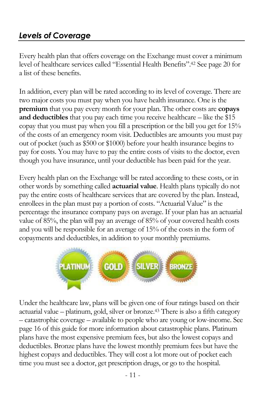# <span id="page-12-0"></span>*Levels of Coverage*

Every health plan that offers coverage on the Exchange must cover a minimum level of healthcare services called "Essential Health Benefits".<sup>42</sup> See page [20](#page-21-0) for a list of these benefits.

In addition, every plan will be rated according to its level of coverage. There are two major costs you must pay when you have health insurance. One is the **premium** that you pay every month for your plan. The other costs are **copays**  and deductibles that you pay each time you receive healthcare – like the \$15 copay that you must pay when you fill a prescription or the bill you get for 15% of the costs of an emergency room visit. Deductibles are amounts you must pay out of pocket (such as \$500 or \$1000) before your health insurance begins to pay for costs. You may have to pay the entire costs of visits to the doctor, even though you have insurance, until your deductible has been paid for the year.

Every health plan on the Exchange will be rated according to these costs, or in other words by something called **actuarial value**. Health plans typically do not pay the entire costs of healthcare services that are covered by the plan. Instead, enrollees in the plan must pay a portion of costs. "Actuarial Value" is the percentage the insurance company pays on average. If your plan has an actuarial value of 85%, the plan will pay an average of 85% of your covered health costs and you will be responsible for an average of 15% of the costs in the form of copayments and deductibles, in addition to your monthly premiums.



Under the healthcare law, plans will be given one of four ratings based on their actuarial value – platinum, gold, silver or bronze.<sup>43</sup> There is also a fifth category – catastrophic coverage – available to people who are young or low-income. See page [16](#page-17-0) of this guide for more information about catastrophic plans. Platinum plans have the most expensive premium fees, but also the lowest copays and deductibles. Bronze plans have the lowest monthly premium fees but have the highest copays and deductibles. They will cost a lot more out of pocket each time you must see a doctor, get prescription drugs, or go to the hospital.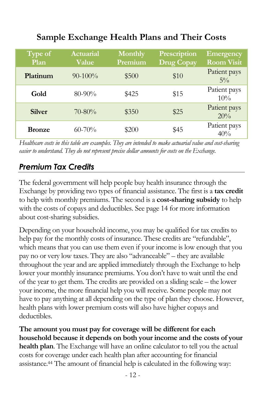# **Sample Exchange Health Plans and Their Costs**

<span id="page-13-1"></span>

| Type of<br>Plan | <b>Actuarial</b><br>Value | <b>Monthly</b><br>Premium | Prescription<br><b>Drug Copay</b> | <b>Emergency</b><br><b>Room Visit</b> |
|-----------------|---------------------------|---------------------------|-----------------------------------|---------------------------------------|
| Platinum        | $90-100\%$                | \$500                     | \$10                              | Patient pays<br>$5\%$                 |
| Gold            | $80 - 90\%$               | \$425                     | \$15                              | Patient pays<br>10%                   |
| <b>Silver</b>   | $70 - 80\%$               | \$350                     | \$25                              | Patient pays<br>20%                   |
| <b>Bronze</b>   | $60 - 70\%$               | \$200                     | \$45                              | Patient pays<br>40%                   |

*Healthcare costs in this table are examples. They are intended to make actuarial value and cost-sharing easier to understand. They do not represent precise dollar amounts for costs on the Exchange.*

### <span id="page-13-0"></span>*Premium Tax Credits*

The federal government will help people buy health insurance through the Exchange by providing two types of financial assistance. The first is a **tax credit** to help with monthly premiums. The second is a **cost-sharing subsidy** to help with the costs of copays and deductibles. See pag[e 14](#page-15-0) for more information about cost-sharing subsidies.

Depending on your household income, you may be qualified for tax credits to help pay for the monthly costs of insurance. These credits are "refundable", which means that you can use them even if your income is low enough that you pay no or very low taxes. They are also "advanceable" – they are available throughout the year and are applied immediately through the Exchange to help lower your monthly insurance premiums. You don't have to wait until the end of the year to get them. The credits are provided on a sliding scale – the lower your income, the more financial help you will receive. Some people may not have to pay anything at all depending on the type of plan they choose. However, health plans with lower premium costs will also have higher copays and deductibles.

**The amount you must pay for coverage will be different for each household because it depends on both your income and the costs of your health plan**. The Exchange will have an online calculator to tell you the actual costs for coverage under each health plan after accounting for financial assistance. <sup>44</sup> The amount of financial help is calculated in the following way: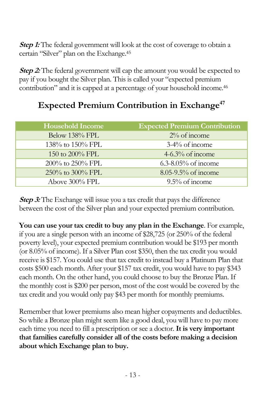**Step 1:** The federal government will look at the cost of coverage to obtain a certain "Silver" plan on the Exchange.<sup>45</sup>

**Step 2:** The federal government will cap the amount you would be expected to pay if you bought the Silver plan. This is called your "expected premium contribution" and it is capped at a percentage of your household income.<sup>46</sup>

### **Expected Premium Contribution in Exchange<sup>47</sup>**

| <b>Household Income</b> | <b>Expected Premium Contribution</b> |
|-------------------------|--------------------------------------|
| Below 138% FPL          | $2\%$ of income                      |
| 138% to 150% FPL        | $3-4\%$ of income                    |
| 150 to $200\%$ FPL      | $4-6.3\%$ of income                  |
| $200\%$ to $250\%$ FPL  | $6.3 - 8.05\%$ of income             |
| 250% to 300% FPL        | $8.05 - 9.5\%$ of income             |
| Above 300% FPL          | $9.5\%$ of income                    |

**Step 3:** The Exchange will issue you a tax credit that pays the difference between the cost of the Silver plan and your expected premium contribution.

**You can use your tax credit to buy any plan in the Exchange**. For example, if you are a single person with an income of \$28,725 (or 250% of the federal poverty level), your expected premium contribution would be \$193 per month (or 8.05% of income). If a Silver Plan cost \$350, then the tax credit you would receive is \$157. You could use that tax credit to instead buy a Platinum Plan that costs \$500 each month. After your \$157 tax credit, you would have to pay \$343 each month. On the other hand, you could choose to buy the Bronze Plan. If the monthly cost is \$200 per person, most of the cost would be covered by the tax credit and you would only pay \$43 per month for monthly premiums.

Remember that lower premiums also mean higher copayments and deductibles. So while a Bronze plan might seem like a good deal, you will have to pay more each time you need to fill a prescription or see a doctor. **It is very important that families carefully consider all of the costs before making a decision about which Exchange plan to buy.**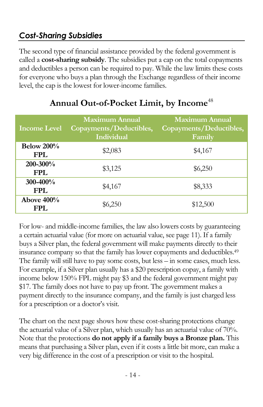# <span id="page-15-0"></span>*Cost-Sharing Subsidies*

The second type of financial assistance provided by the federal government is called a **cost-sharing subsidy**. The subsidies put a cap on the total copayments and deductibles a person can be required to pay. While the law limits these costs for everyone who buys a plan through the Exchange regardless of their income level, the cap is the lowest for lower-income families.

<span id="page-15-1"></span>

| <b>Income Level</b>         | <b>Maximum Annual</b><br>Copayments/Deductibles,<br>Individual | <b>Maximum Annual</b><br>Copayments/Deductibles,<br>Family |
|-----------------------------|----------------------------------------------------------------|------------------------------------------------------------|
| Below $200\%$<br><b>FPL</b> | \$2,083                                                        | \$4,167                                                    |
| 200-300%<br><b>FPL</b>      | \$3,125                                                        | \$6,250                                                    |
| 300-400%<br>FPL.            | \$4,167                                                        | \$8,333                                                    |
| Above $400\%$<br>FPI.       | \$6,250                                                        | \$12,500                                                   |

### **Annual Out-of-Pocket Limit, by Income**<sup>48</sup>

For low- and middle-income families, the law also lowers costs by guaranteeing a certain actuarial value (for more on actuarial value, see pag[e 11\)](#page-12-0). If a family buys a Silver plan, the federal government will make payments directly to their insurance company so that the family has lower copayments and deductibles.<sup>49</sup> The family will still have to pay some costs, but less – in some cases, much less. For example, if a Silver plan usually has a \$20 prescription copay, a family with income below 150% FPL might pay \$3 and the federal government might pay \$17. The family does not have to pay up front. The government makes a payment directly to the insurance company, and the family is just charged less for a prescription or a doctor's visit.

The chart on the next page shows how these cost-sharing protections change the actuarial value of a Silver plan, which usually has an actuarial value of 70%. Note that the protections **do not apply if a family buys a Bronze plan.** This means that purchasing a Silver plan, even if it costs a little bit more, can make a very big difference in the cost of a prescription or visit to the hospital.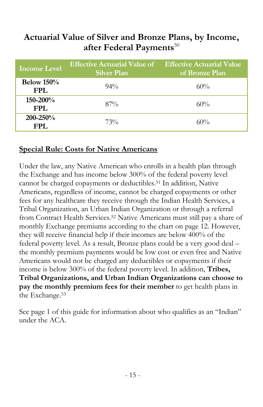### **Actuarial Value of Silver and Bronze Plans, by Income, after Federal Payments**<sup>50</sup>

| <b>Income Level</b>  | <b>Effective Actuarial Value of</b> Effective Actuarial Value<br><b>Silver Plan</b> | of Bronze Plan |
|----------------------|-------------------------------------------------------------------------------------|----------------|
| Below $150%$<br>FPL. | $94\%$                                                                              | 60%            |
| 150-200%<br>FPL.     | $87\%$                                                                              | 60%            |
| $200 - 250%$<br>FPL. | 73%                                                                                 | 60%            |

#### **Special Rule: Costs for Native Americans**

Under the law, any Native American who enrolls in a health plan through the Exchange and has income below 300% of the federal poverty level cannot be charged copayments or deductibles.<sup>51</sup> In addition, Native Americans, regardless of income, cannot be charged copayments or other fees for any healthcare they receive through the Indian Health Services, a Tribal Organization, an Urban Indian Organization or through a referral from Contract Health Services. <sup>52</sup> Native Americans must still pay a share of monthly Exchange premiums according to the chart on page [12.](#page-13-1) However, they will receive financial help if their incomes are below 400% of the federal poverty level. As a result, Bronze plans could be a very good deal – the monthly premium payments would be low cost or even free and Native Americans would not be charged any deductibles or copayments if their income is below 300% of the federal poverty level. In addition, **Tribes, Tribal Organizations, and Urban Indian Organizations can choose to pay the monthly premium fees for their member** to get health plans in the Exchange. 53

<span id="page-16-0"></span>See page [1](#page-2-0) of this guide for information about who qualifies as an "Indian" under the ACA.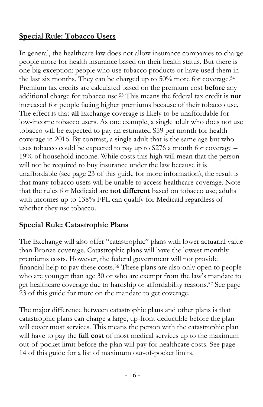#### **Special Rule: Tobacco Users**

In general, the healthcare law does not allow insurance companies to charge people more for health insurance based on their health status. But there is one big exception: people who use tobacco products or have used them in the last six months. They can be charged up to 50% more for coverage.<sup>54</sup> Premium tax credits are calculated based on the premium cost **before** any additional charge for tobacco use. <sup>55</sup> This means the federal tax credit is **not** increased for people facing higher premiums because of their tobacco use. The effect is that **all** Exchange coverage is likely to be unaffordable for low-income tobacco users. As one example, a single adult who does not use tobacco will be expected to pay an estimated \$59 per month for health coverage in 2016. By contrast, a single adult that is the same age but who uses tobacco could be expected to pay up to \$276 a month for coverage – 19% of household income. While costs this high will mean that the person will not be required to buy insurance under the law because it is unaffordable (see page [23](#page-24-0) of this guide for more information), the result is that many tobacco users will be unable to access healthcare coverage. Note that the rules for Medicaid are **not different** based on tobacco use; adults with incomes up to 138% FPL can qualify for Medicaid regardless of whether they use tobacco.

#### <span id="page-17-0"></span>**Special Rule: Catastrophic Plans**

The Exchange will also offer "catastrophic" plans with lower actuarial value than Bronze coverage. Catastrophic plans will have the lowest monthly premiums costs. However, the federal government will not provide financial help to pay these costs.<sup>56</sup> These plans are also only open to people who are younger than age 30 or who are exempt from the law's mandate to get healthcare coverage due to hardship or affordability reasons. <sup>57</sup> See page [23](#page-24-1) of this guide for more on the mandate to get coverage.

The major difference between catastrophic plans and other plans is that catastrophic plans can charge a large, up-front deductible before the plan will cover most services. This means the person with the catastrophic plan will have to pay the **full cost** of most medical services up to the maximum out-of-pocket limit before the plan will pay for healthcare costs. See page [14](#page-15-1) of this guide for a list of maximum out-of-pocket limits.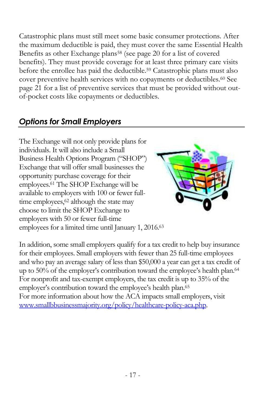Catastrophic plans must still meet some basic consumer protections. After the maximum deductible is paid, they must cover the same Essential Health Benefits as other Exchange plans<sup>58</sup> (see pag[e 20](#page-21-0) for a list of covered benefits). They must provide coverage for at least three primary care visits before the enrollee has paid the deductible.<sup>59</sup> Catastrophic plans must also cover preventive health services with no copayments or deductibles.<sup>60</sup> See page [21](#page-22-0) for a list of preventive services that must be provided without outof-pocket costs like copayments or deductibles.

# *Options for Small Employers*

The Exchange will not only provide plans for individuals. It will also include a Small Business Health Options Program ("SHOP") Exchange that will offer small businesses the opportunity purchase coverage for their employees.<sup>61</sup> The SHOP Exchange will be available to employers with 100 or fewer fulltime employees,<sup>62</sup> although the state may choose to limit the SHOP Exchange to employers with 50 or fewer full-time employees for a limited time until January 1, 2016.<sup>63</sup>



In addition, some small employers qualify for a tax credit to help buy insurance for their employees. Small employers with fewer than 25 full-time employees and who pay an average salary of less than \$50,000 a year can get a tax credit of up to 50% of the employer's contribution toward the employee's health plan.<sup>64</sup> For nonprofit and tax-exempt employers, the tax credit is up to 35% of the employer's contribution toward the employee's health plan.<sup>65</sup> For more information about how the ACA impacts small employers, visit [www.smallbbusinessmajority.org/policy/healthcare-policy-aca.php.](http://www.smallbbusinessmajority.org/policy/healthcare-policy-aca.php)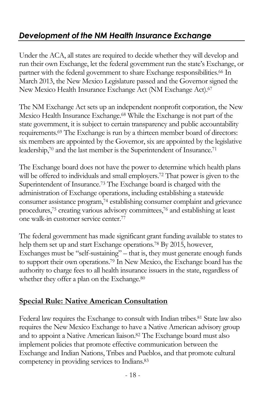# *Development of the NM Health Insurance Exchange*

Under the ACA, all states are required to decide whether they will develop and run their own Exchange, let the federal government run the state's Exchange, or partner with the federal government to share Exchange responsibilities.<sup>66</sup> In March 2013, the New Mexico Legislature passed and the Governor signed the New Mexico Health Insurance Exchange Act (NM Exchange Act).<sup>67</sup>

The NM Exchange Act sets up an independent nonprofit corporation, the New Mexico Health Insurance Exchange.<sup>68</sup> While the Exchange is not part of the state government, it is subject to certain transparency and public accountability requirements.<sup>69</sup> The Exchange is run by a thirteen member board of directors: six members are appointed by the Governor, six are appointed by the legislative leadership,<sup>70</sup> and the last member is the Superintendent of Insurance.<sup>71</sup>

The Exchange board does not have the power to determine which health plans will be offered to individuals and small employers.<sup>72</sup> That power is given to the Superintendent of Insurance.<sup>73</sup> The Exchange board is charged with the administration of Exchange operations, including establishing a statewide consumer assistance program,<sup>74</sup> establishing consumer complaint and grievance procedures,<sup>75</sup> creating various advisory committees,<sup>76</sup> and establishing at least one walk-in customer service center.<sup>77</sup>

The federal government has made significant grant funding available to states to help them set up and start Exchange operations.<sup>78</sup> By 2015, however, Exchanges must be "self-sustaining" – that is, they must generate enough funds to support their own operations.<sup>79</sup> In New Mexico, the Exchange board has the authority to charge fees to all health insurance issuers in the state, regardless of whether they offer a plan on the Exchange.<sup>80</sup>

#### **Special Rule: Native American Consultation**

<span id="page-19-0"></span>Federal law requires the Exchange to consult with Indian tribes.<sup>81</sup> State law also requires the New Mexico Exchange to have a Native American advisory group and to appoint a Native American liaison. <sup>82</sup> The Exchange board must also implement policies that promote effective communication between the Exchange and Indian Nations, Tribes and Pueblos, and that promote cultural competency in providing services to Indians.83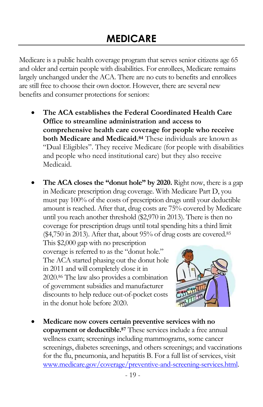Medicare is a public health coverage program that serves senior citizens age 65 and older and certain people with disabilities. For enrollees, Medicare remains largely unchanged under the ACA. There are no cuts to benefits and enrollees are still free to choose their own doctor. However, there are several new benefits and consumer protections for seniors:

- **The ACA establishes the Federal Coordinated Health Care Office to streamline administration and access to comprehensive health care coverage for people who receive both Medicare and Medicaid. <sup>84</sup>** These individuals are known as "Dual Eligibles". They receive Medicare (for people with disabilities and people who need institutional care) but they also receive Medicaid.
- **The ACA closes the "donut hole" by 2020.** Right now, there is a gap in Medicare prescription drug coverage. With Medicare Part D, you must pay 100% of the costs of prescription drugs until your deductible amount is reached. After that, drug costs are 75% covered by Medicare until you reach another threshold (\$2,970 in 2013). There is then no coverage for prescription drugs until total spending hits a third limit (\$4,750 in 2013). After that, about 95% of drug costs are covered.<sup>85</sup>

This \$2,000 gap with no prescription coverage is referred to as the "donut hole." The ACA started phasing out the donut hole in 2011 and will completely close it in 2020.<sup>86</sup> The law also provides a combination of government subsidies and manufacturer discounts to help reduce out-of-pocket costs in the donut hole before 2020.

<span id="page-20-0"></span>

 **Medicare now covers certain preventive services with no copayment or deductible.<sup>87</sup>** These services include a free annual wellness exam; screenings including mammograms, some cancer screenings, diabetes screenings, and others screenings; and vaccinations for the flu, pneumonia, and hepatitis B. For a full list of services, visit [www.medicare.gov/coverage/preventive-and-screening-services.html.](http://www.medicare.gov/coverage/preventive-and-screening-services.html)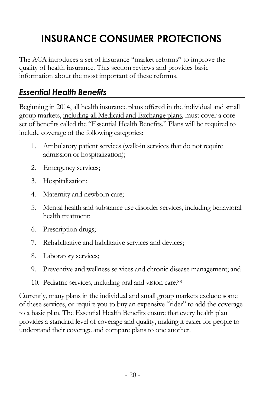# **INSURANCE CONSUMER PROTECTIONS**

The ACA introduces a set of insurance "market reforms" to improve the quality of health insurance. This section reviews and provides basic information about the most important of these reforms.

# <span id="page-21-0"></span>*Essential Health Benefits*

Beginning in 2014, all health insurance plans offered in the individual and small group markets, including all Medicaid and Exchange plans, must cover a core set of benefits called the "Essential Health Benefits." Plans will be required to include coverage of the following categories:

- 1. Ambulatory patient services (walk-in services that do not require admission or hospitalization);
- 2. Emergency services;
- 3. Hospitalization;
- 4. Maternity and newborn care;
- 5. Mental health and substance use disorder services, including behavioral health treatment;
- 6. Prescription drugs;
- 7. Rehabilitative and habilitative services and devices;
- 8. Laboratory services;
- 9. Preventive and wellness services and chronic disease management; and
- 10. Pediatric services, including oral and vision care.<sup>88</sup>

Currently, many plans in the individual and small group markets exclude some of these services, or require you to buy an expensive "rider" to add the coverage to a basic plan. The Essential Health Benefits ensure that every health plan provides a standard level of coverage and quality, making it easier for people to understand their coverage and compare plans to one another.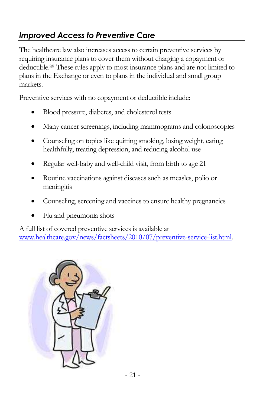# <span id="page-22-0"></span>*Improved Access to Preventive Care*

The healthcare law also increases access to certain preventive services by requiring insurance plans to cover them without charging a copayment or deductible.<sup>89</sup> These rules apply to most insurance plans and are not limited to plans in the Exchange or even to plans in the individual and small group markets.

Preventive services with no copayment or deductible include:

- Blood pressure, diabetes, and cholesterol tests
- Many cancer screenings, including mammograms and colonoscopies
- Counseling on topics like quitting smoking, losing weight, eating healthfully, treating depression, and reducing alcohol use
- Regular well-baby and well-child visit, from birth to age 21
- Routine vaccinations against diseases such as measles, polio or meningitis
- Counseling, screening and vaccines to ensure healthy pregnancies
- Flu and pneumonia shots

A full list of covered preventive services is available at [www.healthcare.gov/news/factsheets/2010/07/preventive-service-list.html.](http://www.healthcare.gov/news/factsheets/2010/07/preventive-service-list.html) 

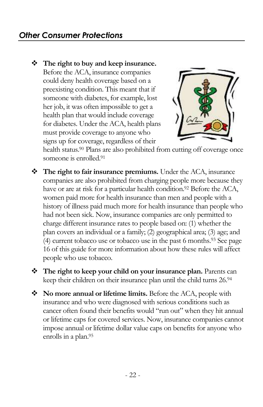**The right to buy and keep insurance.**  Before the ACA, insurance companies could deny health coverage based on a preexisting condition. This meant that if someone with diabetes, for example, lost her job, it was often impossible to get a health plan that would include coverage for diabetes. Under the ACA, health plans must provide coverage to anyone who signs up for coverage, regardless of their



health status.<sup>90</sup> Plans are also prohibited from cutting off coverage once someone is enrolled.<sup>91</sup>

- **The right to fair insurance premiums.** Under the ACA, insurance companies are also prohibited from charging people more because they have or are at risk for a particular health condition.<sup>92</sup> Before the ACA, women paid more for health insurance than men and people with a history of illness paid much more for health insurance than people who had not been sick. Now, insurance companies are only permitted to charge different insurance rates to people based on: (1) whether the plan covers an individual or a family; (2) geographical area; (3) age; and (4) current tobacco use or tobacco use in the past 6 months.<sup>93</sup> See page [16](#page-16-0) of this guide for more information about how these rules will affect people who use tobacco.
- **The right to keep your child on your insurance plan.** Parents can keep their children on their insurance plan until the child turns 26.<sup>94</sup>
- **No more annual or lifetime limits.** Before the ACA, people with insurance and who were diagnosed with serious conditions such as cancer often found their benefits would "run out" when they hit annual or lifetime caps for covered services. Now, insurance companies cannot impose annual or lifetime dollar value caps on benefits for anyone who enrolls in a plan.<sup>95</sup>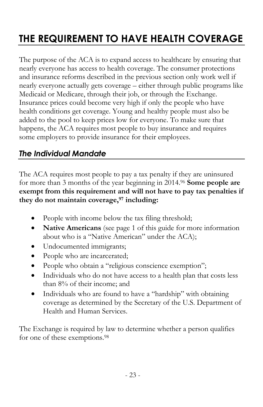# <span id="page-24-0"></span>**THE REQUIREMENT TO HAVE HEALTH COVERAGE**

The purpose of the ACA is to expand access to healthcare by ensuring that nearly everyone has access to health coverage. The consumer protections and insurance reforms described in the previous section only work well if nearly everyone actually gets coverage – either through public programs like Medicaid or Medicare, through their job, or through the Exchange. Insurance prices could become very high if only the people who have health conditions get coverage. Young and healthy people must also be added to the pool to keep prices low for everyone. To make sure that happens, the ACA requires most people to buy insurance and requires some employers to provide insurance for their employees.

# <span id="page-24-1"></span>*The Individual Mandate*

The ACA requires most people to pay a tax penalty if they are uninsured for more than 3 months of the year beginning in 2014.<sup>96</sup> **Some people are exempt from this requirement and will not have to pay tax penalties if they do not maintain coverage, <sup>97</sup> including:**

- People with income below the tax filing threshold;
- **Native Americans** (see page [1](#page-2-0) of this guide for more information about who is a "Native American" under the ACA);
- Undocumented immigrants;
- People who are incarcerated;
- People who obtain a "religious conscience exemption";
- Individuals who do not have access to a health plan that costs less than 8% of their income; and
- Individuals who are found to have a "hardship" with obtaining coverage as determined by the Secretary of the U.S. Department of Health and Human Services.

The Exchange is required by law to determine whether a person qualifies for one of these exemptions.<sup>98</sup>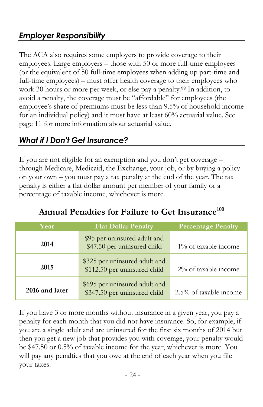# *Employer Responsibility*

The ACA also requires some employers to provide coverage to their employees. Large employers – those with 50 or more full-time employees (or the equivalent of 50 full-time employees when adding up part-time and full-time employees) – must offer health coverage to their employees who work 30 hours or more per week, or else pay a penalty.<sup>99</sup> In addition, to avoid a penalty, the coverage must be "affordable" for employees (the employee's share of premiums must be less than 9.5% of household income for an individual policy) and it must have at least 60% actuarial value. See page [11](#page-12-0) for more information about actuarial value.

### <span id="page-25-0"></span>*What if I Don't Get Insurance?*

If you are not eligible for an exemption and you don't get coverage – through Medicare, Medicaid, the Exchange, your job, or by buying a policy on your own – you must pay a tax penalty at the end of the year. The tax penalty is either a flat dollar amount per member of your family or a percentage of taxable income, whichever is more.

| Year           | <b>Flat Dollar Penalty</b>                                    | <b>Percentage Penalty</b> |
|----------------|---------------------------------------------------------------|---------------------------|
| 2014           | \$95 per uninsured adult and<br>\$47.50 per uninsured child   | 1% of taxable income      |
| 2015           | \$325 per uninsured adult and<br>\$112.50 per uninsured child | 2% of taxable income      |
| 2016 and later | \$695 per uninsured adult and<br>\$347.50 per uninsured child | 2.5% of taxable income    |

# **Annual Penalties for Failure to Get Insurance<sup>100</sup>**

If you have 3 or more months without insurance in a given year, you pay a penalty for each month that you did not have insurance. So, for example, if you are a single adult and are uninsured for the first six months of 2014 but then you get a new job that provides you with coverage, your penalty would be \$47.50 or 0.5% of taxable income for the year, whichever is more. You will pay any penalties that you owe at the end of each year when you file your taxes.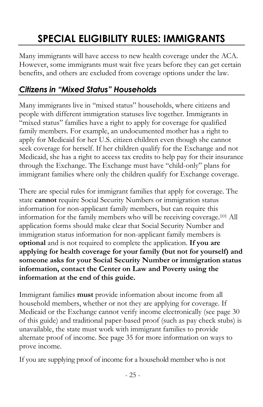# **SPECIAL ELIGIBILITY RULES: IMMIGRANTS**

<span id="page-26-0"></span>Many immigrants will have access to new health coverage under the ACA. However, some immigrants must wait five years before they can get certain benefits, and others are excluded from coverage options under the law.

### *Citizens in "Mixed Status" Households*

Many immigrants live in "mixed status" households, where citizens and people with different immigration statuses live together. Immigrants in "mixed status" families have a right to apply for coverage for qualified family members. For example, an undocumented mother has a right to apply for Medicaid for her U.S. citizen children even though she cannot seek coverage for herself. If her children qualify for the Exchange and not Medicaid, she has a right to access tax credits to help pay for their insurance through the Exchange. The Exchange must have "child-only" plans for immigrant families where only the children qualify for Exchange coverage.

There are special rules for immigrant families that apply for coverage. The state **cannot** require Social Security Numbers or immigration status information for non-applicant family members, but can require this information for the family members who will be receiving coverage.<sup>101</sup> All application forms should make clear that Social Security Number and immigration status information for non-applicant family members is **optional** and is not required to complete the application. **If you are applying for health coverage for your family (but not for yourself) and someone asks for your Social Security Number or immigration status information, contact the Center on Law and Poverty using the information at the end of this guide.**

Immigrant families **must** provide information about income from all household members, whether or not they are applying for coverage. If Medicaid or the Exchange cannot verify income electronically (see page [30](#page-31-0) of this guide) and traditional paper-based proof (such as pay check stubs) is unavailable, the state must work with immigrant families to provide alternate proof of income. See page [35](#page-36-0) for more information on ways to prove income.

If you are supplying proof of income for a household member who is not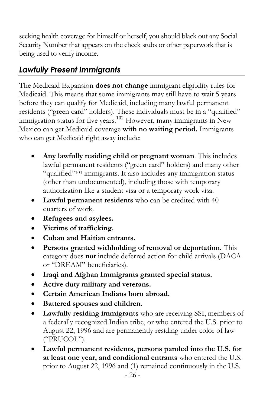seeking health coverage for himself or herself, you should black out any Social Security Number that appears on the check stubs or other paperwork that is being used to verify income.

# *Lawfully Present Immigrants*

The Medicaid Expansion **does not change** immigrant eligibility rules for Medicaid. This means that some immigrants may still have to wait 5 years before they can qualify for Medicaid, including many lawful permanent residents ("green card" holders). These individuals must be in a "qualified" immigration status for five years.<sup>102</sup> However, many immigrants in New Mexico can get Medicaid coverage **with no waiting period.** Immigrants who can get Medicaid right away include:

- **Any lawfully residing child or pregnant woman**. This includes lawful permanent residents ("green card" holders) and many other "qualified"<sup>103</sup> immigrants. It also includes any immigration status (other than undocumented), including those with temporary authorization like a student visa or a temporary work visa.
- **Lawful permanent residents** who can be credited with 40 quarters of work.
- **Refugees and asylees.**
- **Victims of trafficking.**
- **Cuban and Haitian entrants.**
- **Persons granted withholding of removal or deportation.** This category does **not** include deferred action for child arrivals (DACA or "DREAM" beneficiaries).
- **Iraqi and Afghan Immigrants granted special status.**
- **Active duty military and veterans.**
- **Certain American Indians born abroad.**
- **Battered spouses and children.**
- **Lawfully residing immigrants** who are receiving SSI, members of a federally recognized Indian tribe, or who entered the U.S. prior to August 22, 1996 and are permanently residing under color of law ("PRUCOL").
- **Lawful permanent residents, persons paroled into the U.S. for at least one year, and conditional entrants** who entered the U.S. prior to August 22, 1996 and (1) remained continuously in the U.S.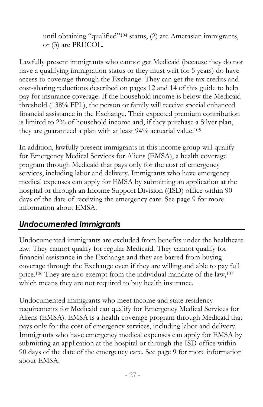until obtaining "qualified"<sup>104</sup> status, (2) are Amerasian immigrants, or (3) are PRUCOL.

Lawfully present immigrants who cannot get Medicaid (because they do not have a qualifying immigration status or they must wait for 5 years) do have access to coverage through the Exchange. They can get the tax credits and cost-sharing reductions described on pages [12](#page-13-0) and [14](#page-15-0) of this guide to help pay for insurance coverage. If the household income is below the Medicaid threshold (138% FPL), the person or family will receive special enhanced financial assistance in the Exchange. Their expected premium contribution is limited to 2% of household income and, if they purchase a Silver plan, they are guaranteed a plan with at least 94% actuarial value.<sup>105</sup>

In addition, lawfully present immigrants in this income group will qualify for Emergency Medical Services for Aliens (EMSA), a health coverage program through Medicaid that pays only for the cost of emergency services, including labor and delivery. Immigrants who have emergency medical expenses can apply for EMSA by submitting an application at the hospital or through an Income Support Division ((ISD) office within 90 days of the date of receiving the emergency care. See page [9](#page-10-1) for more information about EMSA.

### *Undocumented Immigrants*

Undocumented immigrants are excluded from benefits under the healthcare law. They cannot qualify for regular Medicaid. They cannot qualify for financial assistance in the Exchange and they are barred from buying coverage through the Exchange even if they are willing and able to pay full price.<sup>106</sup> They are also exempt from the individual mandate of the law,<sup>107</sup> which means they are not required to buy health insurance.

<span id="page-28-0"></span>Undocumented immigrants who meet income and state residency requirements for Medicaid can qualify for Emergency Medical Services for Aliens (EMSA). EMSA is a health coverage program through Medicaid that pays only for the cost of emergency services, including labor and delivery. Immigrants who have emergency medical expenses can apply for EMSA by submitting an application at the hospital or through the ISD office within 90 days of the date of the emergency care. See page [9](#page-10-1) for more information about EMSA.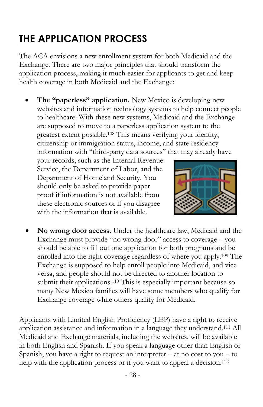# **THE APPLICATION PROCESS**

The ACA envisions a new enrollment system for both Medicaid and the Exchange. There are two major principles that should transform the application process, making it much easier for applicants to get and keep health coverage in both Medicaid and the Exchange:

 **The "paperless" application.** New Mexico is developing new websites and information technology systems to help connect people to healthcare. With these new systems, Medicaid and the Exchange are supposed to move to a paperless application system to the greatest extent possible.<sup>108</sup> This means verifying your identity, citizenship or immigration status, income, and state residency information with "third-party data sources" that may already have

your records, such as the Internal Revenue Service, the Department of Labor, and the Department of Homeland Security. You should only be asked to provide paper proof if information is not available from these electronic sources or if you disagree with the information that is available.



 **No wrong door access.** Under the healthcare law, Medicaid and the Exchange must provide "no wrong door" access to coverage – you should be able to fill out one application for both programs and be enrolled into the right coverage regardless of where you apply.<sup>109</sup> The Exchange is supposed to help enroll people into Medicaid, and vice versa, and people should not be directed to another location to submit their applications.<sup>110</sup> This is especially important because so many New Mexico families will have some members who qualify for Exchange coverage while others qualify for Medicaid.

Applicants with Limited English Proficiency (LEP) have a right to receive application assistance and information in a language they understand.<sup>111</sup> All Medicaid and Exchange materials, including the websites, will be available in both English and Spanish. If you speak a language other than English or Spanish, you have a right to request an interpreter  $-$  at no cost to you  $-$  to help with the application process or if you want to appeal a decision.<sup>112</sup>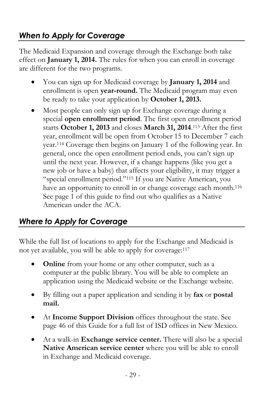# *When to Apply for Coverage*

The Medicaid Expansion and coverage through the Exchange both take effect on **January 1, 2014.** The rules for when you can enroll in coverage are different for the two programs.

- You can sign up for Medicaid coverage by **January 1, 2014** and enrollment is open **year-round.** The Medicaid program may even be ready to take your application by **October 1, 2013.**
- Most people can only sign up for Exchange coverage during a special **open enrollment period**. The first open enrollment period starts **October 1, 2013** and closes **March 31, 2014**. <sup>113</sup> After the first year, enrollment will be open from October 15 to December 7 each year.<sup>114</sup> Coverage then begins on January 1 of the following year. In general, once the open enrollment period ends, you can't sign up until the next year. However, if a change happens (like you get a new job or have a baby) that affects your eligibility, it may trigger a "special enrollment period."<sup>115</sup> If you are Native American, you have an opportunity to enroll in or change coverage each month.<sup>116</sup> See page [1](#page-2-0) of this guide to find out who qualifies as a Native American under the ACA.

### *Where to Apply for Coverage*

While the full list of locations to apply for the Exchange and Medicaid is not yet available, you will be able to apply for coverage:<sup>117</sup>

- **Online** from your home or any other computer, such as a computer at the public library. You will be able to complete an application using the Medicaid website or the Exchange website.
- By filling out a paper application and sending it by **fax** or **postal mail.**
- At **Income Support Division** offices throughout the state. See page [46](#page-46-0) of this Guide for a full list of ISD offices in New Mexico.
- At a walk-in **Exchange service center.** There will also be a special **Native American service center** where you will be able to enroll in Exchange and Medicaid coverage.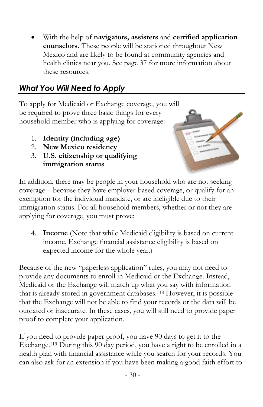With the help of **navigators, assisters** and **certified application counselors.** These people will be stationed throughout New Mexico and are likely to be found at community agencies and health clinics near you. See page [37](#page-38-0) for more information about these resources.

# <span id="page-31-0"></span>*What You Will Need to Apply*

To apply for Medicaid or Exchange coverage, you will be required to prove three basic things for every household member who is applying for coverage:

- 1. **Identity (including age)**
- 2. **New Mexico residency**
- 3. **U.S. citizenship or qualifying immigration status**



In addition, there may be people in your household who are not seeking coverage – because they have employer-based coverage, or qualify for an exemption for the individual mandate, or are ineligible due to their immigration status. For all household members, whether or not they are applying for coverage, you must prove:

4. **Income** (Note that while Medicaid eligibility is based on current income, Exchange financial assistance eligibility is based on expected income for the whole year.)

Because of the new "paperless application" rules, you may not need to provide any documents to enroll in Medicaid or the Exchange. Instead, Medicaid or the Exchange will match up what you say with information that is already stored in government databases.<sup>118</sup> However, it is possible that the Exchange will not be able to find your records or the data will be outdated or inaccurate. In these cases, you will still need to provide paper proof to complete your application.

If you need to provide paper proof, you have 90 days to get it to the Exchange. <sup>119</sup> During this 90 day period, you have a right to be enrolled in a health plan with financial assistance while you search for your records. You can also ask for an extension if you have been making a good faith effort to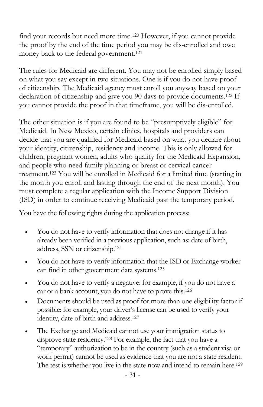find your records but need more time. <sup>120</sup> However, if you cannot provide the proof by the end of the time period you may be dis-enrolled and owe money back to the federal government. 121

The rules for Medicaid are different. You may not be enrolled simply based on what you say except in two situations. One is if you do not have proof of citizenship. The Medicaid agency must enroll you anyway based on your declaration of citizenship and give you 90 days to provide documents. <sup>122</sup> If you cannot provide the proof in that timeframe, you will be dis-enrolled.

The other situation is if you are found to be "presumptively eligible" for Medicaid. In New Mexico, certain clinics, hospitals and providers can decide that you are qualified for Medicaid based on what you declare about your identity, citizenship, residency and income. This is only allowed for children, pregnant women, adults who qualify for the Medicaid Expansion, and people who need family planning or breast or cervical cancer treatment. <sup>123</sup> You will be enrolled in Medicaid for a limited time (starting in the month you enroll and lasting through the end of the next month). You must complete a regular application with the Income Support Division (ISD) in order to continue receiving Medicaid past the temporary period.

You have the following rights during the application process:

- You do not have to verify information that does not change if it has already been verified in a previous application, such as: date of birth, address, SSN or citizenship.<sup>124</sup>
- You do not have to verify information that the ISD or Exchange worker can find in other government data systems.<sup>125</sup>
- You do not have to verify a negative: for example, if you do not have a car or a bank account, you do not have to prove this.<sup>126</sup>
- Documents should be used as proof for more than one eligibility factor if possible: for example, your driver's license can be used to verify your identity, date of birth and address.<sup>127</sup>
- The Exchange and Medicaid cannot use your immigration status to disprove state residency.<sup>128</sup> For example, the fact that you have a "temporary" authorization to be in the country (such as a student visa or work permit) cannot be used as evidence that you are not a state resident. The test is whether you live in the state now and intend to remain here.<sup>129</sup>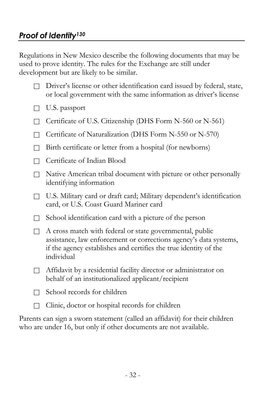Regulations in New Mexico describe the following documents that may be used to prove identity. The rules for the Exchange are still under development but are likely to be similar.

- $\Box$  Driver's license or other identification card issued by federal, state, or local government with the same information as driver's license
- $\Box$  U.S. passport
- □ Certificate of U.S. Citizenship (DHS Form N-560 or N-561)
- $\Box$  Certificate of Naturalization (DHS Form N-550 or N-570)
- $\Box$  Birth certificate or letter from a hospital (for newborns)
- □ Certificate of Indian Blood
- Native American tribal document with picture or other personally identifying information
- $\Box$  U.S. Military card or draft card; Military dependent's identification card, or U.S. Coast Guard Mariner card
- $\Box$  School identification card with a picture of the person
- $\Box$  A cross match with federal or state governmental, public assistance, law enforcement or corrections agency's data systems, if the agency establishes and certifies the true identity of the individual
- $\Box$  Affidavit by a residential facility director or administrator on behalf of an institutionalized applicant/recipient
- $\Box$  School records for children
- $\Box$  Clinic, doctor or hospital records for children

Parents can sign a sworn statement (called an affidavit) for their children who are under 16, but only if other documents are not available.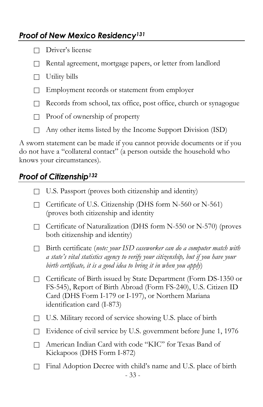### *Proof of New Mexico Residency<sup>131</sup>*

- Driver's license
- Rental agreement, mortgage papers, or letter from landlord
- $\Box$  Utility bills
- $\Box$  Employment records or statement from employer
- Records from school, tax office, post office, church or synagogue
- $\Box$  Proof of ownership of property
- $\Box$  Any other items listed by the Income Support Division (ISD)

A sworn statement can be made if you cannot provide documents or if you do not have a "collateral contact" (a person outside the household who knows your circumstances).

#### *Proof of Citizenship<sup>132</sup>*

- $\Box$  U.S. Passport (proves both citizenship and identity)
- $\Box$  Certificate of U.S. Citizenship (DHS form N-560 or N-561) (proves both citizenship and identity
- $\Box$  Certificate of Naturalization (DHS form N-550 or N-570) (proves both citizenship and identity)
- Birth certificate (*note: your ISD caseworker can do a computer match with a state's vital statistics agency to verify your citizenship, but if you have your birth certificate, it is a good idea to bring it in when you apply*)
- □ Certificate of Birth issued by State Department (Form DS-1350 or FS-545), Report of Birth Abroad (Form FS-240), U.S. Citizen ID Card (DHS Form I-179 or I-197), or Northern Mariana identification card (I-873)
- $\Box$  U.S. Military record of service showing U.S. place of birth
- □ Evidence of civil service by U.S. government before June 1, 1976
- American Indian Card with code "KIC" for Texas Band of Kickapoos (DHS Form I-872)
- 33  $\Box$  Final Adoption Decree with child's name and U.S. place of birth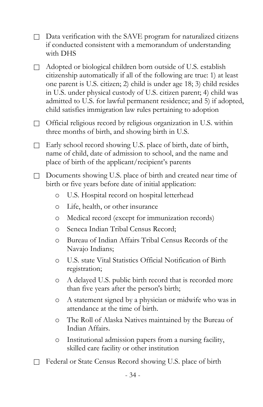- $\Box$  Data verification with the SAVE program for naturalized citizens if conducted consistent with a memorandum of understanding with DHS
- $\Box$  Adopted or biological children born outside of U.S. establish citizenship automatically if all of the following are true: 1) at least one parent is U.S. citizen; 2) child is under age 18; 3) child resides in U.S. under physical custody of U.S. citizen parent; 4) child was admitted to U.S. for lawful permanent residence; and 5) if adopted, child satisfies immigration law rules pertaining to adoption
- $\Box$  Official religious record by religious organization in U.S. within three months of birth, and showing birth in U.S.
- $\Box$  Early school record showing U.S. place of birth, date of birth, name of child, date of admission to school, and the name and place of birth of the applicant/recipient's parents
- Documents showing U.S. place of birth and created near time of birth or five years before date of initial application:
	- o U.S. Hospital record on hospital letterhead
	- o Life, health, or other insurance
	- o Medical record (except for immunization records)
	- o Seneca Indian Tribal Census Record;
	- o Bureau of Indian Affairs Tribal Census Records of the Navajo Indians;
	- o U.S. state Vital Statistics Official Notification of Birth registration;
	- o A delayed U.S. public birth record that is recorded more than five years after the person's birth;
	- o A statement signed by a physician or midwife who was in attendance at the time of birth.
	- o The Roll of Alaska Natives maintained by the Bureau of Indian Affairs.
	- o Institutional admission papers from a nursing facility, skilled care facility or other institution
- □ Federal or State Census Record showing U.S. place of birth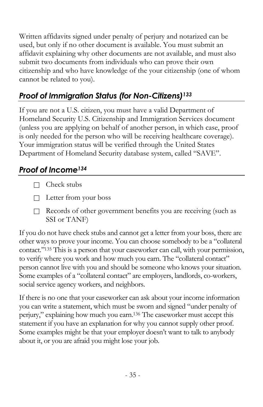Written affidavits signed under penalty of perjury and notarized can be used, but only if no other document is available. You must submit an affidavit explaining why other documents are not available, and must also submit two documents from individuals who can prove their own citizenship and who have knowledge of the your citizenship (one of whom cannot be related to you).

# *Proof of Immigration Status (for Non-Citizens)<sup>133</sup>*

If you are not a U.S. citizen, you must have a valid Department of Homeland Security U.S. Citizenship and Immigration Services document (unless you are applying on behalf of another person, in which case, proof is only needed for the person who will be receiving healthcare coverage). Your immigration status will be verified through the United States Department of Homeland Security database system, called "SAVE".

### <span id="page-36-0"></span>*Proof of Income<sup>134</sup>*

- $\Box$  Check stubs
- Letter from your boss
- Records of other government benefits you are receiving (such as SSI or TANF)

If you do not have check stubs and cannot get a letter from your boss, there are other ways to prove your income. You can choose somebody to be a "collateral contact."<sup>135</sup> This is a person that your caseworker can call, with your permission, to verify where you work and how much you earn. The "collateral contact" person cannot live with you and should be someone who knows your situation. Some examples of a "collateral contact" are employers, landlords, co-workers, social service agency workers, and neighbors.

If there is no one that your caseworker can ask about your income information you can write a statement, which must be sworn and signed "under penalty of perjury," explaining how much you earn. <sup>136</sup> The caseworker must accept this statement if you have an explanation for why you cannot supply other proof. Some examples might be that your employer doesn't want to talk to anybody about it, or you are afraid you might lose your job.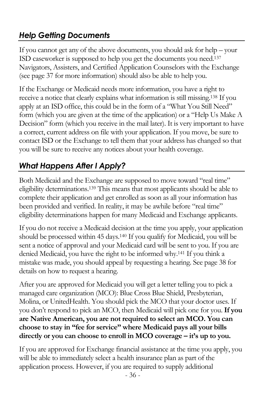# *Help Getting Documents*

If you cannot get any of the above documents, you should ask for help – your ISD caseworker is supposed to help you get the documents you need. 137 Navigators, Assisters, and Certified Application Counselors with the Exchange (see pag[e 37](#page-38-0) for more information) should also be able to help you.

If the Exchange or Medicaid needs more information, you have a right to receive a notice that clearly explains what information is still missing.<sup>138</sup> If you apply at an ISD office, this could be in the form of a "What You Still Need" form (which you are given at the time of the application) or a "Help Us Make A Decision" form (which you receive in the mail later). It is very important to have a correct, current address on file with your application. If you move, be sure to contact ISD or the Exchange to tell them that your address has changed so that you will be sure to receive any notices about your health coverage.

# <span id="page-37-0"></span>*What Happens After I Apply?*

Both Medicaid and the Exchange are supposed to move toward "real time" eligibility determinations.<sup>139</sup> This means that most applicants should be able to complete their application and get enrolled as soon as all your information has been provided and verified. In reality, it may be awhile before "real time" eligibility determinations happen for many Medicaid and Exchange applicants.

If you do not receive a Medicaid decision at the time you apply, your application should be processed within 45 days.<sup>140</sup> If you qualify for Medicaid, you will be sent a notice of approval and your Medicaid card will be sent to you. If you are denied Medicaid, you have the right to be informed why.<sup>141</sup> If you think a mistake was made, you should appeal by requesting a hearing. See pag[e 38](#page-39-0) for details on how to request a hearing.

After you are approved for Medicaid you will get a letter telling you to pick a managed care organization (MCO): Blue Cross Blue Shield, Presbyterian, Molina, or UnitedHealth. You should pick the MCO that your doctor uses. If you don't respond to pick an MCO, then Medicaid will pick one for you. **If you are Native American, you are not required to select an MCO. You can choose to stay in "fee for service" where Medicaid pays all your bills directly or you can choose to enroll in MCO coverage – it's up to you.**

If you are approved for Exchange financial assistance at the time you apply, you will be able to immediately select a health insurance plan as part of the application process. However, if you are required to supply additional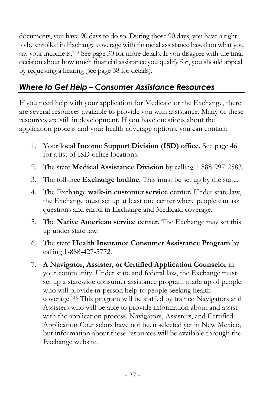documents, you have 90 days to do so. During those 90 days, you have a right to be enrolled in Exchange coverage with financial assistance based on what you say your income is.<sup>142</sup> See page [30](#page-31-0) for more details. If you disagree with the final decision about how much financial assistance you qualify for, you should appeal by requesting a hearing (see page [38](#page-39-0) for details).

# <span id="page-38-0"></span>*Where to Get Help – Consumer Assistance Resources*

If you need help with your application for Medicaid or the Exchange, there are several resources available to provide you with assistance. Many of these resources are still in development. If you have questions about the application process and your health coverage options, you can contact:

- 1. Your **local Income Support Division (ISD) office.** See page [46](#page-46-0) for a list of ISD office locations.
- 2. The state **Medical Assistance Division** by calling 1-888-997-2583.
- 3. The toll-free **Exchange hotline**. This must be set up by the state.
- 4. The Exchange **walk-in customer service center.** Under state law, the Exchange must set up at least one center where people can ask questions and enroll in Exchange and Medicaid coverage.
- 5. The **Native American service center.** The Exchange may set this up under state law.
- 6. The state **Health Insurance Consumer Assistance Program** by calling 1-888-427-5772.
- 7. **A Navigator, Assister, or Certified Application Counselor** in your community. Under state and federal law, the Exchange must set up a statewide consumer assistance program made up of people who will provide in-person help to people seeking health coverage.<sup>143</sup> This program will be staffed by trained Navigators and Assisters who will be able to provide information about and assist with the application process. Navigators, Assisters, and Certified Application Counselors have not been selected yet in New Mexico, but information about these resources will be available through the Exchange website.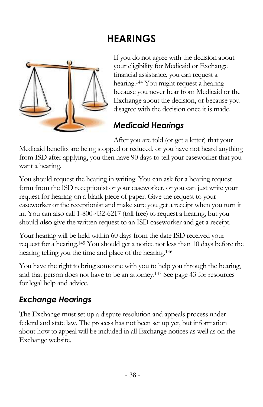# **HEARINGS**

<span id="page-39-0"></span>

If you do not agree with the decision about your eligibility for Medicaid or Exchange financial assistance, you can request a hearing.<sup>144</sup> You might request a hearing because you never hear from Medicaid or the Exchange about the decision, or because you disagree with the decision once it is made.

# *Medicaid Hearings*

After you are told (or get a letter) that your

Medicaid benefits are being stopped or reduced, or you have not heard anything from ISD after applying, you then have 90 days to tell your caseworker that you want a hearing.

You should request the hearing in writing. You can ask for a hearing request form from the ISD receptionist or your caseworker, or you can just write your request for hearing on a blank piece of paper. Give the request to your caseworker or the receptionist and make sure you get a receipt when you turn it in. You can also call 1-800-432-6217 (toll free) to request a hearing, but you should **also** give the written request to an ISD caseworker and get a receipt.

Your hearing will be held within 60 days from the date ISD received your request for a hearing.<sup>145</sup> You should get a notice not less than 10 days before the hearing telling you the time and place of the hearing.<sup>146</sup>

You have the right to bring someone with you to help you through the hearing, and that person does not have to be an attorney.<sup>147</sup> See pag[e 43](#page-44-1) for resources for legal help and advice.

# *Exchange Hearings*

<span id="page-39-1"></span>The Exchange must set up a dispute resolution and appeals process under federal and state law. The process has not been set up yet, but information about how to appeal will be included in all Exchange notices as well as on the Exchange website.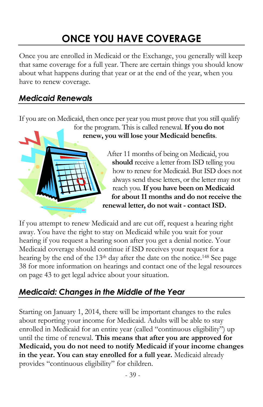# **ONCE YOU HAVE COVERAGE**

Once you are enrolled in Medicaid or the Exchange, you generally will keep that same coverage for a full year. There are certain things you should know about what happens during that year or at the end of the year, when you have to renew coverage.

#### *Medicaid Renewals*

If you are on Medicaid, then once per year you must prove that you still qualify

for the program. This is called renewal. **If you do not renew, you will lose your Medicaid benefits**.

> After 11 months of being on Medicaid, you **should** receive a letter from ISD telling you how to renew for Medicaid. But ISD does not always send these letters, or the letter may not reach you. **If you have been on Medicaid for about 11 months and do not receive the renewal letter, do not wait - contact ISD.**

If you attempt to renew Medicaid and are cut off, request a hearing right away. You have the right to stay on Medicaid while you wait for your hearing if you request a hearing soon after you get a denial notice. Your Medicaid coverage should continue if ISD receives your request for a hearing by the end of the 13th day after the date on the notice.<sup>148</sup> See page [38](#page-39-0) for more information on hearings and contact one of the legal resources on page [43](#page-44-1) to get legal advice about your situation.

### *Medicaid: Changes in the Middle of the Year*

Starting on January 1, 2014, there will be important changes to the rules about reporting your income for Medicaid. Adults will be able to stay enrolled in Medicaid for an entire year (called "continuous eligibility") up until the time of renewal. **This means that after you are approved for Medicaid, you do not need to notify Medicaid if your income changes in the year. You can stay enrolled for a full year.** Medicaid already provides "continuous eligibility" for children.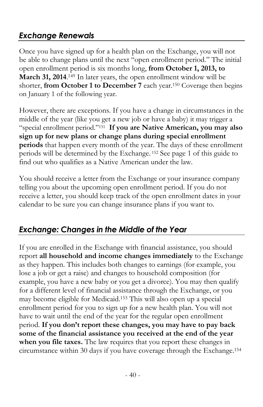# *Exchange Renewals*

Once you have signed up for a health plan on the Exchange, you will not be able to change plans until the next "open enrollment period." The initial open enrollment period is six months long, **from October 1, 2013, to March 31, 2014**.<sup>149</sup> In later years, the open enrollment window will be shorter, **from October 1 to December 7** each year.<sup>150</sup> Coverage then begins on January 1 of the following year.

However, there are exceptions. If you have a change in circumstances in the middle of the year (like you get a new job or have a baby) it may trigger a "special enrollment period."<sup>151</sup> **If you are Native American, you may also sign up for new plans or change plans during special enrollment periods** that happen every month of the year. The days of these enrollment periods will be determined by the Exchange. <sup>152</sup> See page [1](#page-2-1) of this guide to find out who qualifies as a Native American under the law.

You should receive a letter from the Exchange or your insurance company telling you about the upcoming open enrollment period. If you do not receive a letter, you should keep track of the open enrollment dates in your calendar to be sure you can change insurance plans if you want to.

### *Exchange: Changes in the Middle of the Year*

If you are enrolled in the Exchange with financial assistance, you should report **all household and income changes immediately** to the Exchange as they happen. This includes both changes to earnings (for example, you lose a job or get a raise) and changes to household composition (for example, you have a new baby or you get a divorce). You may then qualify for a different level of financial assistance through the Exchange, or you may become eligible for Medicaid. <sup>153</sup> This will also open up a special enrollment period for you to sign up for a new health plan. You will not have to wait until the end of the year for the regular open enrollment period. **If you don't report these changes, you may have to pay back some of the financial assistance you received at the end of the year when you file taxes.** The law requires that you report these changes in circumstance within 30 days if you have coverage through the Exchange.154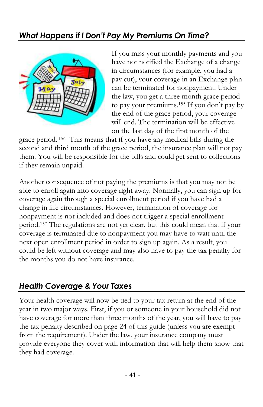# *What Happens if I Don't Pay My Premiums On Time?*



If you miss your monthly payments and you have not notified the Exchange of a change in circumstances (for example, you had a pay cut), your coverage in an Exchange plan can be terminated for nonpayment. Under the law, you get a three month grace period to pay your premiums. <sup>155</sup> If you don't pay by the end of the grace period, your coverage will end. The termination will be effective on the last day of the first month of the

grace period. <sup>156</sup> This means that if you have any medical bills during the second and third month of the grace period, the insurance plan will not pay them. You will be responsible for the bills and could get sent to collections if they remain unpaid.

Another consequence of not paying the premiums is that you may not be able to enroll again into coverage right away. Normally, you can sign up for coverage again through a special enrollment period if you have had a change in life circumstances. However, termination of coverage for nonpayment is not included and does not trigger a special enrollment period.<sup>157</sup> The regulations are not yet clear, but this could mean that if your coverage is terminated due to nonpayment you may have to wait until the next open enrollment period in order to sign up again. As a result, you could be left without coverage and may also have to pay the tax penalty for the months you do not have insurance.

### *Health Coverage & Your Taxes*

Your health coverage will now be tied to your tax return at the end of the year in two major ways. First, if you or someone in your household did not have coverage for more than three months of the year, you will have to pay the tax penalty described on page [24](#page-25-0) of this guide (unless you are exempt from the requirement). Under the law, your insurance company must provide everyone they cover with information that will help them show that they had coverage.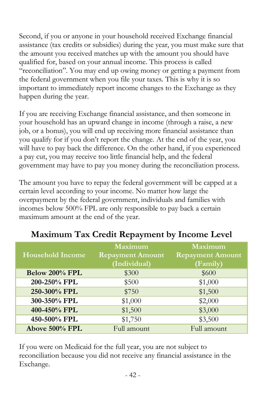Second, if you or anyone in your household received Exchange financial assistance (tax credits or subsidies) during the year, you must make sure that the amount you received matches up with the amount you should have qualified for, based on your annual income. This process is called "reconciliation". You may end up owing money or getting a payment from the federal government when you file your taxes. This is why it is so important to immediately report income changes to the Exchange as they happen during the year.

If you are receiving Exchange financial assistance, and then someone in your household has an upward change in income (through a raise, a new job, or a bonus), you will end up receiving more financial assistance than you qualify for if you don't report the change. At the end of the year, you will have to pay back the difference. On the other hand, if you experienced a pay cut, you may receive too little financial help, and the federal government may have to pay you money during the reconciliation process.

The amount you have to repay the federal government will be capped at a certain level according to your income. No matter how large the overpayment by the federal government, individuals and families with incomes below 500% FPL are only responsible to pay back a certain maximum amount at the end of the year.

|                         | <b>Maximum</b>          | <b>Maximum</b>          |
|-------------------------|-------------------------|-------------------------|
| <b>Household Income</b> | <b>Repayment Amount</b> | <b>Repayment Amount</b> |
|                         | (Individual)            | (Family)                |
| Below 200% FPL          | \$300                   | \$600                   |
| 200-250% FPL            | \$500                   | \$1,000                 |
| 250-300% FPL            | \$750                   | \$1,500                 |
| 300-350% FPL            | \$1,000                 | \$2,000                 |
| 400-450% FPL            | \$1,500                 | \$3,000                 |
| 450-500% FPL            | \$1,750                 | \$3,500                 |
| Above 500% FPL          | Full amount             | Full amount             |

### **Maximum Tax Credit Repayment by Income Level**

<span id="page-43-0"></span>If you were on Medicaid for the full year, you are not subject to reconciliation because you did not receive any financial assistance in the Exchange.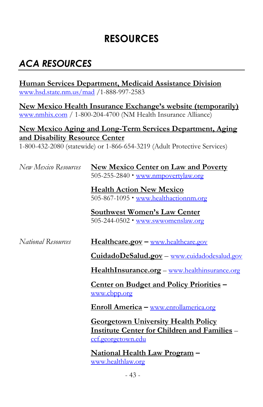# <span id="page-44-1"></span>**RESOURCES**

# <span id="page-44-0"></span>*ACA RESOURCES*

**Human Services Department, Medicaid Assistance Division** [www.hsd.state.nm.us/mad](http://www.hsd.state.nm.us/mad) /1-888-997-2583

**New Mexico Health Insurance Exchange's website (temporarily)** [www.nmhix.com](http://www.nmhix.com/) / 1-800-204-4700 (NM Health Insurance Alliance)

#### **New Mexico Aging and Long-Term Services Department, Aging and Disability Resource Center**

1-800-432-2080 (statewide) or 1-866-654-3219 (Adult Protective Services)

| New Mexico Resources      | <b>New Mexico Center on Law and Poverty</b><br>505-255-2840 • www.nmpovertylaw.org                                             |
|---------------------------|--------------------------------------------------------------------------------------------------------------------------------|
|                           | <b>Health Action New Mexico</b><br>505-867-1095 • www.healthactionnm.org                                                       |
|                           | Southwest Women's Law Center<br>505-244-0502 • www.swwomenslaw.org                                                             |
| <i>National Resources</i> | Healthcare.gov - www.healthcare.gov                                                                                            |
|                           | <u> CuidadoDeSalud.gov – www.cuidadodesalud.gov</u>                                                                            |
|                           | HealthInsurance.org - www.healthinsurance.org                                                                                  |
|                           | <u><b>Center on Budget and Policy Priorities –</b></u><br>www.cbpp.org                                                         |
|                           | <u> Enroll America – www.enrollamerica.org</u>                                                                                 |
|                           | <b>Georgetown University Health Policy</b><br><b>Institute Center for Children and Families -</b><br><u>ccf.georgetown.edu</u> |
|                           | <u> National Health Law Program</u> –<br><u>www.healthlaw.org</u>                                                              |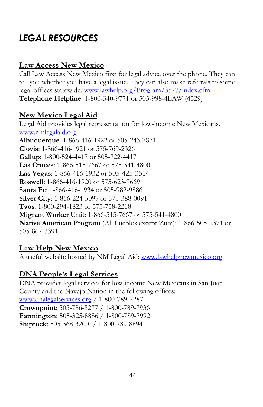# *LEGAL RESOURCES*

#### **Law Access New Mexico**

Call Law Access New Mexico first for legal advice over the phone. They can tell you whether you have a legal issue. They can also make referrals to some legal offices statewide. [www.lawhelp.org/Program/3577/index.cfm](http://www.lawhelp.org/Program/3577/index.cfm)  **Telephone Helpline**: 1-800-340-9771 or 505-998-4LAW (4529)

#### **New Mexico Legal Aid**

Legal Aid provides legal representation for low-income New Mexicans. [www.nmlegalaid.org](http://www.nmlegalaid.org/) **Albuquerque**: 1-866-416-1922 or 505-243-7871 **Clovis**: 1-866-416-1921 or 575-769-2326 **Gallup**: 1-800-524-4417 or 505-722-4417 **Las Cruces**: 1-866-515-7667 or 575-541-4800 **Las Vegas**: 1-866-416-1932 or 505-425-3514 **Roswell**: 1-866-416-1920 or 575-623-9669 **Santa Fe**: 1-866-416-1934 or 505-982-9886 **Silver City**: 1-866-224-5097 or 575-388-0091 **Taos**: 1-800-294-1823 or 575-758-2218 **Migrant Worker Unit**: 1-866-515-7667 or 575-541-4800 **Native American Program** (All Pueblos except Zuni): 1-866-505-2371 or 505-867-3391

#### **Law Help New Mexico**

A useful website hosted by NM Legal Aid[: www.lawhelpnewmexico.org](http://www.lawhelpnewmexico.org/)

#### **DNA People's Legal Services**

DNA provides legal services for low-income New Mexicans in San Juan County and the Navajo Nation in the following offices: [www.dnalegalservices.org](http://www.dnalegalservices.org/) / 1-800-789-7287 **Crownpoint**: 505-786-5277 / 1-800-789-7936 **Farmington**: 505-325-8886 / 1-800-789-7992 **Shiprock**: 505-368-3200 / 1-800-789-8894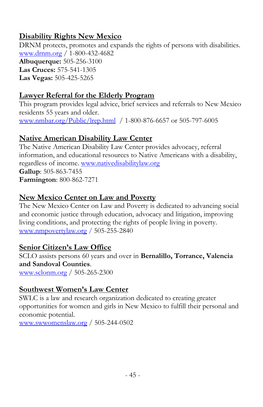#### **Disability Rights New Mexico**

DRNM protects, promotes and expands the rights of persons with disabilities. [www.drnm.org](http://www.drnm.org/) / 1-800-432-4682 **Albuquerque:** 505-256-3100 **Las Cruces:** 575-541-1305 **Las Vegas:** 505-425-5265

#### **Lawyer Referral for the Elderly Program**

This program provides legal advice, brief services and referrals to New Mexico residents 55 years and older. [www.nmbar.org/Public/lrep.html](http://www.nmbar.org/Public/lrep.html) / 1-800-876-6657 or 505-797-6005

#### **Native American Disability Law Center**

The Native American Disability Law Center provides advocacy, referral information, and educational resources to Native Americans with a disability, regardless of income. [www.nativedisabilitylaw.org](http://www.nativedisabilitylaw.org/) **Gallup**: 505-863-7455 **Farmington**: 800-862-7271

#### **New Mexico Center on Law and Poverty**

The New Mexico Center on Law and Poverty is dedicated to advancing social and economic justice through education, advocacy and litigation, improving living conditions, and protecting the rights of people living in poverty. [www.nmpovertylaw.org](http://www.nmpovertylaw.org/) / 505-255-2840

#### **Senior Citizen's Law Office**

SCLO assists persons 60 years and over in **Bernalillo, Torrance, Valencia and Sandoval Counties**.

[www.sclonm.org](http://www.sclonm.org/) / 505-265-2300

### **Southwest Women's Law Center**

SWLC is a law and research organization dedicated to creating greater opportunities for women and girls in New Mexico to fulfill their personal and economic potential.

<span id="page-46-0"></span>[www.swwomenslaw.org](http://www.swwomenslaw.org/) / 505-244-0502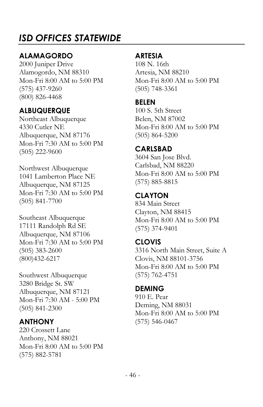# *ISD OFFICES STATEWIDE*

#### **ALAMAGORDO**

2000 Juniper Drive Alamogordo, NM 88310 Mon-Fri 8:00 AM to 5:00 PM (575) 437-9260 (800) 826-4468

#### **ALBUQUERQUE**

Northeast Albuquerque 4330 Cutler NE Albuquerque, NM 87176 Mon-Fri 7:30 AM to 5:00 PM (505) 222-9600

Northwest Albuquerque 1041 Lamberton Place NE Albuquerque, NM 87125 Mon-Fri 7:30 AM to 5:00 PM (505) 841-7700

Southeast Albuquerque 17111 Randolph Rd SE Albuquerque, NM 87106 Mon-Fri 7:30 AM to 5:00 PM (505) 383-2600 (800)432-6217

Southwest Albuquerque 3280 Bridge St. SW Albuquerque, NM 87121 Mon-Fri 7:30 AM - 5:00 PM (505) 841-2300

#### **ANTHONY**

220 Crossett Lane Anthony, NM 88021 Mon-Fri 8:00 AM to 5:00 PM (575) 882-5781

#### **ARTESIA**

108 N. 16th Artesia, NM 88210 Mon-Fri 8:00 AM to 5:00 PM (505) 748-3361

**BELEN**

100 S. 5th Street Belen, NM 87002 Mon-Fri 8:00 AM to 5:00 PM (505) 864-5200

#### **CARLSBAD**

3604 San Jose Blvd. Carlsbad, NM 88220 Mon-Fri 8:00 AM to 5:00 PM (575) 885-8815

**CLAYTON** 834 Main Street

Clayton, NM 88415 Mon-Fri 8:00 AM to 5:00 PM (575) 374-9401

#### **CLOVIS**

3316 North Main Street, Suite A Clovis, NM 88101-3756 Mon-Fri 8:00 AM to 5:00 PM (575) 762-4751

**DEMING**

910 E. Pear Deming, NM 88031 Mon-Fri 8:00 AM to 5:00 PM (575) 546-0467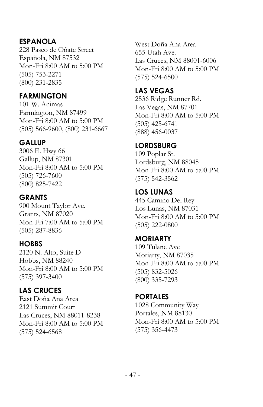#### **ESPANOLA**

228 Paseo de Oñate Street Española, NM 87532 Mon-Fri 8:00 AM to 5:00 PM (505) 753-2271 (800) 231-2835

#### **FARMINGTON**

101 W. Animas Farmington, NM 87499 Mon-Fri 8:00 AM to 5:00 PM (505) 566-9600, (800) 231-6667

#### **GALLUP**

3006 E. Hwy 66 Gallup, NM 87301 Mon-Fri 8:00 AM to 5:00 PM (505) 726-7600 (800) 825-7422

#### **GRANTS**

900 Mount Taylor Ave. Grants, NM 87020 Mon-Fri 7:00 AM to 5:00 PM (505) 287-8836

#### **HOBBS**

2120 N. Alto, Suite D Hobbs, NM 88240 Mon-Fri 8:00 AM to 5:00 PM (575) 397-3400

#### **LAS CRUCES**

East Doña Ana Area 2121 Summit Court Las Cruces, NM 88011-8238 Mon-Fri 8:00 AM to 5:00 PM (575) 524-6568

West Doña Ana Area 655 Utah Ave. Las Cruces, NM 88001-6006 Mon-Fri 8:00 AM to 5:00 PM (575) 524-6500

#### **LAS VEGAS**

2536 Ridge Runner Rd. Las Vegas, NM 87701 Mon-Fri 8:00 AM to 5:00 PM (505) 425-6741 (888) 456-0037

#### **LORDSBURG**

109 Poplar St. Lordsburg, NM 88045 Mon-Fri 8:00 AM to 5:00 PM (575) 542-3562

#### **LOS LUNAS**

445 Camino Del Rey Los Lunas, NM 87031 Mon-Fri 8:00 AM to 5:00 PM (505) 222-0800

#### **MORIARTY**

109 Tulane Ave Moriarty, NM 87035 Mon-Fri 8:00 AM to 5:00 PM (505) 832-5026 (800) 335-7293

#### **PORTALES**

1028 Community Way Portales, NM 88130 Mon-Fri 8:00 AM to 5:00 PM (575) 356-4473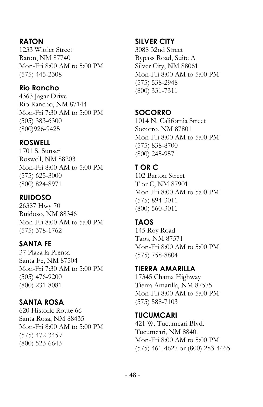#### <span id="page-49-0"></span>**RATON**

1233 Wittier Street Raton, NM 87740 Mon-Fri 8:00 AM to 5:00 PM (575) 445-2308

#### **Rio Rancho**

4363 Jagar Drive Rio Rancho, NM 87144 Mon-Fri 7:30 AM to 5:00 PM (505) 383-6300 (800)926-9425

#### **ROSWELL**

1701 S. Sunset Roswell, NM 88203 Mon-Fri 8:00 AM to 5:00 PM (575) 625-3000 (800) 824-8971

#### **RUIDOSO**

26387 Hwy 70 Ruidoso, NM 88346 Mon-Fri 8:00 AM to 5:00 PM (575) 378-1762

### **SANTA FE**

37 Plaza la Prensa Santa Fe, NM 87504 Mon-Fri 7:30 AM to 5:00 PM (505) 476-9200 (800) 231-8081

#### **SANTA ROSA**

620 Historic Route 66 Santa Rosa, NM 88435 Mon-Fri 8:00 AM to 5:00 PM (575) 472-3459 (800) 523-6643

#### **SILVER CITY**

3088 32nd Street Bypass Road, Suite A Silver City, NM 88061 Mon-Fri 8:00 AM to 5:00 PM (575) 538-2948 (800) 331-7311

#### **SOCORRO**

1014 N. California Street Socorro, NM 87801 Mon-Fri 8:00 AM to 5:00 PM (575) 838-8700 (800) 245-9571

#### **T OR C**

102 Barton Street T or C, NM 87901 Mon-Fri 8:00 AM to 5:00 PM (575) 894-3011 (800) 560-3011

#### **TAOS**

145 Roy Road Taos, NM 87571 Mon-Fri 8:00 AM to 5:00 PM (575) 758-8804

#### **TIERRA AMARILLA**

17345 Chama Highway Tierra Amarilla, NM 87575 Mon-Fri 8:00 AM to 5:00 PM (575) 588-7103

**TUCUMCARI** 421 W. Tucumcari Blvd. Tucumcari, NM 88401 Mon-Fri 8:00 AM to 5:00 PM (575) 461-4627 or (800) 283-4465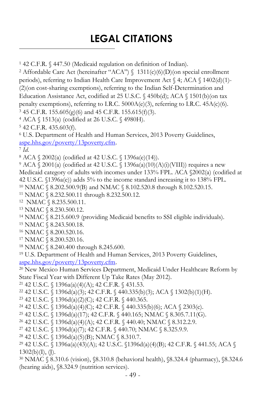# **LEGAL CITATIONS**

42 C.F.R. § 447.50 (Medicaid regulation on definition of Indian).

<sup>2</sup> Affordable Care Act (hereinafter "ACA")  $\{$  1311(c)(6)(D)(on special enrollment periods), referring to Indian Health Care Improvement Act § 4; ACA § 1402(d)(1)- (2)(on cost-sharing exemptions), referring to the Indian Self-Determination and Education Assistance Act, codified at 25 U.S.C. § 450b(d); ACA § 1501(b)(on tax penalty exemptions), referring to I.R.C. 5000A(e)(3), referring to I.R.C. 45A(c)(6). 45 C.F.R. 155.605(g)(6) and 45 C.F.R. 155.615(f)(3).

ACA § 1513(a) (codified at 26 U.S.C. § 4980H).

42 C.F.R. 435.603(f).

 U.S. Department of Health and Human Services, 2013 Poverty Guidelines, [aspe.hhs.gov/poverty/13poverty.cfm.](http://www.aspe.hhs.gov/poverty/13poverty.cfm)

*Id*.

 $\ddot{ }$ 

ACA § 2002(a) (codified at 42 U.S.C. § 1396a(e)(14)).

 ACA § 2001(a) (codified at 42 U.S.C. § 1396a(a)(10)(A)(i)(VIII)) requires a new Medicaid category of adults with incomes under 133% FPL. ACA §2002(a) (codified at 42 U.S.C. §1396a(e)) adds 5% to the income standard increasing it to 138% FPL. NMAC § 8.202.500.9(B) and NMAC § 8.102.520.8 through 8.102.520.15.

NMAC § 8.232.500.11 through 8.232.500.12.

NMAC § 8.235.500.11.

NMAC § 8.230.500.12.

NMAC § 8.215.600.9 (providing Medicaid benefits to SSI eligible individuals).

NMAC § 8.243.500.18.

NMAC § 8.200.520.16.

NMAC § 8.200.520.16.

NMAC § 8.240.400 through 8.245.600.

U.S. Department of Health and Human Services, 2013 Poverty Guidelines,

[aspe.hhs.gov/poverty/13poverty.cfm.](http://www.aspe.hhs.gov/poverty/13poverty.cfm)

 New Mexico Human Services Department, Medicaid Under Healthcare Reform by State Fiscal Year with Different Up Take Rates (May 2012).

<sup>21</sup> 42 U.S.C. § 1396a(a)(4)(A); 42 C.F.R. § 431.53.

42 U.S.C. § 1396d(a)(3); 42 C.F.R. § 440.335(b)(3); ACA § 1302(b)(1)(H).

42 U.S.C. § 1396d(a)(2)(C); 42 C.F.R. § 440.365.

42 U.S.C. § 1396d(a)(4)(C); 42 C.F.R. § 440.335(b)(6); ACA § 2303(c).

42 U.S.C. § 1396d(a)(17); 42 C.F.R. § 440.165; NMAC § 8.305.7.11(G).

42 U.S.C. § 1396d(a)(4)(A); 42 C.F.R. § 440.40; NMAC § 8.312.2.9.

42 U.S.C. § 1396d(a)(7); 42 C.F.R. § 440.70; NMAC § 8.325.9.9.

<sup>28</sup> 42 U.S.C. § 1396d(a)(5)(B); NMAC § 8.310.7.

 42 U.S.C. § 1396a(a)(43)(A); 42 U.S.C. §1396d(a)(4)(B); 42 C.F.R. § 441.55; ACA §  $1302(b)(I), (J).$ 

 NMAC § 8.310.6 (vision), §8.310.8 (behavioral health), §8.324.4 (pharmacy), §8.324.6 (hearing aids), §8.324.9 (nutrition services).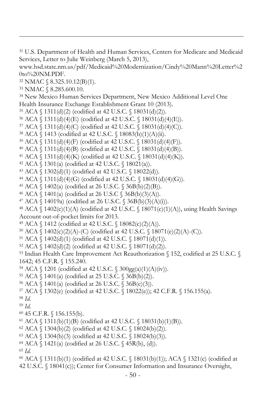- U.S. Department of Health and Human Services, Centers for Medicare and Medicaid Services, Letter to Julie Weinberg (March 5, 2013),
- www.hsd.state.nm.us/pdf/Medicaid%20Modernization/Cindy%20Mann%20Letter%2 0to%20NM.PDF.
- NMAC § 8.325.10.12(B)(1).
- NMAC § [8.285.600.10.](http://www.nmcpr.state.nm.us/NMAC/parts/title08/08.285.0600.htm)

-

- New Mexico Human Services Department, New Mexico Additional Level One Health Insurance Exchange Establishment Grant 10 (2013).
- ACA § 1311(d)(2) (codified at 42 U.S.C. § 18031(d)(2)).
- ACA § 1311(d)(4)(E) (codified at 42 U.S.C. § 18031(d)(4)(E)).
- ACA § 1311(d)(4)(C) (codified at 42 U.S.C. § 18031(d)(4)(C)).
- ACA § 1413 (codified at 42 U.S.C. § 18083(b)(1)(A)(ii).
- ACA § 1311(d)(4)(F) (codified at 42 U.S.C. § 18031(d)(4)(F)).
- ACA § 1311(d)(4)(B) (codified at 42 U.S.C. § 18031(d)(4)(B)).
- ACA § 1311(d)(4)(K) (codified at 42 U.S.C. § 18031(d)(4)(K)).
- ACA § 1301(a) (codified at 42 U.S.C. § 18021(a)).
- ACA § 1302(d)(1) (codified at 42 U.S.C. § 18022(d)).
- ACA § 1311(d)(4)(G) (codified at 42 U.S.C. § 18031(d)(4)(G)).
- ACA § 1402(a) (codified at 26 U.S.C. § 36B(b)(2)(B)).
- ACA § 1401(a) (codified at 26 U.S.C § 36B(b)(3)(A)).
- ACA § 14019a) (codified at 26 U.S.C. § 36B(b)(3)(A)(i)).

 ACA § 1402(c)(1)(A) (codified at 42 U.S.C. § 18071(c)(1)(A)), using Health Savings Account out-of-pocket limits for 2013.

- ACA  $\{$  1412 (codified at 42 U.S.C.  $\{$  18082(c)(2)(A)).
- ACA  $\{1402(c)(2)(A)-(C)$  (codified at 42 U.S.C.  $\{18071(e)(2)(A)-(C)\}$ ).
- ACA § 1402(d)(1) (codified at 42 U.S.C. § 18071(d)(1)).
- ACA § 1402(d)(2) (codified at 42 U.S.C. § 18071(d)(2)).
- Indian Health Care Improvement Act Reauthorization § 152, codified at 25 U.S.C. § 1642; 45 C.F.R. § 155.240.
- ACA § 1201 (codified at 42 U.S.C. § 300gg(a)(1)(A)(iv)).
- ACA § 1401(a) (codified at 25 U.S.C. § 36B(b)(2)).
- ACA § 1401(a) (codified at 26 U.S.C. § 36B(c)(3)).
- ACA § 1302(e) (codified at 42 U.S.C. § 18022(e)); 42 C.F.R. § 156.155(a).
- *Id*.
- *Id*.
- 45 C.F.R. § 156.155(b).
- ACA  $\{(1311(b)(1)(B) \text{ (codified at 42 U.S.C. } \{(18031(b)(1)(B))\})\})$
- ACA § 1304(b)(2) (codified at 42 U.S.C. § 18024(b)(2)).
- ACA § 1304(b)(3) (codified at 42 U.S.C. § 18024(b)(3)).
- ACA  $\{1421(a)$  (codified at 26 U.S.C.  $\{45R(b), (d)\}.$
- *Id.*
- 66 ACA  $\S$  1311(b)(1) (codified at 42 U.S.C.  $\S$  18031(b)(1)); ACA  $\S$  1321(c) (codified at 42 U.S.C. § 18041(c)); Center for Consumer Information and Insurance Oversight,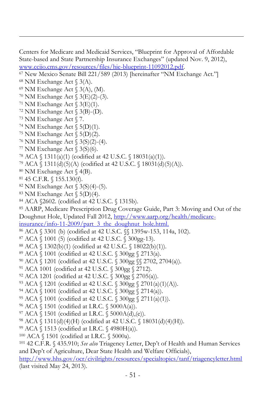Centers for Medicare and Medicaid Services, "Blueprint for Approval of Affordable State-based and State Partnership Insurance Exchanges" (updated Nov. 9, 2012), [www.cciio.cms.gov/resources/files/hie-blueprint-11092012.pdf.](http://www.cciio.cms.gov/resources/files/hie-blueprint-11092012.pdf) 

New Mexico Senate Bill 221/589 (2013) [hereinafter "NM Exchange Act."]

- NM Exchange Act § 3(A), (M).
- NM Exchange Act § 3(E)(2)-(3).
- <sup>71</sup> NM Exchange Act  $\S$  3(E)(1).
- NM Exchange Act  $\S$  3(B)-(D).
- NM Exchange Act § 7.

-

- <sup>74</sup> NM Exchange Act  $\S$  5(D)(1).
- <sup>75</sup> NM Exchange Act  $\S$  5(D)(2).
- NM Exchange Act § 3(S)(2)-(4).
- NM Exchange Act  $\frac{53}{500}$ .
- ACA § 1311(a)(1) (codified at 42 U.S.C. § 18031(a)(1)).
- ACA § 1311(d)(5)(A) (codified at 42 U.S.C. § 18031(d)(5)(A)).
- NM Exchange Act § 4(B).
- 45 C.F.R. § 155.130(f).
- NM Exchange Act § 3(S)(4)-(5).
- <sup>83</sup> NM Exchange Act  $\S$  5(D)(4).
- ACA §2602. (codified at 42 U.S.C. § 1315b).

AARP, Medicare Prescription Drug Coverage Guide, Part 3: Moving and Out of the

Doughnut Hole, Updated Fall 2012, [http://www.aarp.org/health/medicare-](http://www.aarp.org/health/medicare-insurance/info-11-2009/part_3_the_doughnut_hole.html)

[insurance/info-11-2009/part\\_3\\_the\\_doughnut\\_hole.html.](http://www.aarp.org/health/medicare-insurance/info-11-2009/part_3_the_doughnut_hole.html)

- ACA § 3301 (b) (codified at 42 U.S.C. §§ 1395w-153, 114a, 102).
- ACA § 1001 (5) (codified at 42 U.S.C. § 300gg-13).
- ACA § 1302(b)(1) (codified at 42 U.S.C. § 18022(b)(1)).
- ACA § 1001 (codified at 42 U.S.C. § 300gg § 2713(a).
- ACA § 1201 (codified at 42 U.S.C. § 300gg §§ 2702, 2704(a)).
- ACA 1001 (codified at 42 U.S.C. § 300gg § 2712).
- ACA 1201 (codified at 42 U.S.C. § 300gg § 2705(a)).
- ACA § 1201 (codified at 42 U.S.C. § 300gg § 2701(a)(1)(A)).
- ACA § 1001 (codified at 42 U.S.C. § 300gg § 2714(a)).
- ACA § 1001 (codified at 42 U.S.C. § 300gg § 2711(a)(1)).
- ACA § 1501 (codified at I.R.C. § 5000A(a)).
- ACA  $\{$  1501 (codified at I.R.C.  $\{$  5000A(d),(e)).
- ACA § 1311(d)(4)(H) (codified at 42 U.S.C. § 18031(d)(4)(H)).
- ACA § 1513 (codified at I.R.C. § 4980H(a)).
- ACA § 1501 (codified at I.R.C. § 5000a).

 42 C.F.R. § 435.910; *See also* Triagency Letter, Dep't of Health and Human Services and Dep't of Agriculture, Dear State Health and Welfare Officials),

<http://www.hhs.gov/ocr/civilrights/resources/specialtopics/tanf/triagencyletter.html> (last visited May 24, 2013).

NM Exchange Act  $\S$  3(A).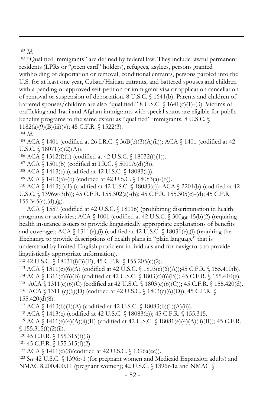<sup>102</sup> *Id.* 

-

<sup>103</sup> "Qualified immigrants" are defined by federal law. They include lawful permanent residents (LPRs or "green card" holders), refugees, asylees, persons granted withholding of deportation or removal, conditional entrants, persons paroled into the U.S. for at least one year, Cuban/Haitian entrants, and battered spouses and children with a pending or approved self-petition or immigrant visa or application cancellation of removal or suspension of deportation. 8 U.S.C. § 1641(b). Parents and children of battered spouses/children are also "qualified." 8 U.S.C. § 1641(c)(1)-(3). Victims of trafficking and Iraqi and Afghan immigrants with special status are eligible for public benefits programs to the same extent as "qualified" immigrants. 8 U.S.C. § 1182(a)(9)(B)(iii)(v); 45 C.F.R. § 1522(3).

<sup>104</sup> *Id.*

<sup>105</sup> ACA § 1401 (codified at 26 I.R.C. § 36B(b)(3)(A)(ii)); ACA § 1401 (codified at 42 U.S.C.  $\{(18071(c)(2)(A))\}.$ 

<sup>106</sup> ACA § 1312(f)(1) (codified at 42 U.S.C. § 18032(f)(1)).

<sup>107</sup> ACA § 1501(b) (codified at I.R.C. § 5000A(d)(3)).

<sup>108</sup> ACA § 1413(c) (codified at 42 U.S.C. § 18083(c)).

<sup>109</sup> ACA § 1413(a)-(b) (codified at 42 U.S.C. § 18083(a)-(b)).

<sup>110</sup> ACA § 1413(c)(1) (codified at 42 U.S.C. § 18083(c)); ACA § 2201(b) (codified at 42 U.S.C. § 1396w-3(b)); 45 C.F.R. 155.302(a)-(b); 45 C.F.R. 155.305(c)-(d); 45 C.F.R.  $155.345(a)$ , (d), (g).

<sup>111</sup> ACA  $\S$  1557 (codified at 42 U.S.C.  $\S$  18116) (prohibiting discrimination in health programs or activities; ACA § 1001 (codified at 42 U.S.C. § 300gg-15(b)(2) (requiring health insurance issuers to provide linguistically appropriate explanations of benefits and coverage); ACA  $\S 1311(e)$ , (i) (codified at 42 U.S.C.  $\S 18031(e)$ , (i) (requiring the Exchange to provide descriptions of health plans in "plain language" that is understood by limited-English proficient individuals and for navigators to provide linguistically appropriate information).

112 42 U.S.C. § 18031(i)(3)(E); 45 C.F.R. § 155.205(c)(2).

<sup>113</sup> ACA § 1311(c)(6)(A) (codified at 42 U.S.C. § 1803(c)(6)(A));45 C.F.R. § 155.410(b).

<sup>114</sup> ACA § 1311(c)(6)(B) (codified at 42 U.S.C. § 1803(c)(6)(B)); 45 C.F.R. § 155.410(e).

115 ACA § 1311(c)(6)(C) (codified at 42 U.S.C. § 1803(c)(6)(C)); 45 C.F.R. § 155.420(d). 116 ACA § 1311 (c)(6)(D) (codified at 42 U.S.C. § 1803(c)(6)(D)); 45 C.F.R. § 155.420(d)(8).

117 ACA  $\{1413(b)(1)(A)$  (codified at 42 U.S.C.  $\{18083(b)(1)(A)(ii)\}.$ 

<sup>118</sup> ACA § 1413(c) (codified at 42 U.S.C. § 18083(c)); 45 C.F.R. § 155.315.

<sup>119</sup> ACA § 1411(e)(4)(A)(ii)(II) (codified at 42 U.S.C. § 18081(e)(4)(A)(ii)(II)); 45 C.F.R.  $$155.315(f)(2)(ii).$ 

 $120$  45 C.F.R.  $\{(155.315(f)(3))$ .

121 45 C.F.R.  $\{(155.315(f)(2)\)$ .

122 ACA  $\{1411(e)(3)(\text{codified at }42 \text{ U.S.C. } \{1396a(ee))\}.$ 

<sup>123</sup> S*ee* 42 U.S.C. § 1396r-1 (for pregnant women and Medicaid Expansion adults) and NMAC 8.200.400.11 (pregnant women); 42 U.S.C. § 1396r-1a and NMAC §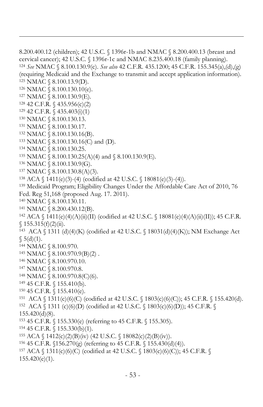```
8.200.400.12 (children); 42 U.S.C. § 1396r-1b and NMAC § 8.200.400.13 (breast and 
cervical cancer); 42 U.S.C. § 1396r-1c and NMAC 8.235.400.18 (family planning).
124 See NMAC § 8.100.130.9(c). See also 42 C.F.R. 435.1200; 45 C.F.R. 155.345(a),(d),(g) 
(requiring Medicaid and the Exchange to transmit and accept application information).
125 NMAC § 8.100.13.9(D). 
126 NMAC § 8.100.130.10(e).
127 NMAC § 8.100.130.9(E).
128 42 C.F.R. § 435.956(c)(2)
129 42 C.F.R. § 435.403(i)(1)
130 NMAC § 8.100.130.13.
131 NMAC § 8.100.130.17.
132 NMAC § 8.100.130.16(B).
133 NMAC § 8.100.130.16(C) and (D).
134 NMAC § 8.100.130.25.
135 NMAC \S 8.100.130.25(A)(4) and \S 8.100.130.9(E).
136 NMAC § 8.100.130.9(G).
137 NMAC § 8.100.130.8(A)(3).
138 ACA \{ 1411(e)(3)-(4) (codified at 42 U.S.C. \{ 18081(e)(3)-(4) \}).
139 Medicaid Program; Eligibility Changes Under the Affordable Care Act of 2010, 76 
Fed. Reg 51,168 (proposed Aug. 17. 2011). 
140 NMAC § 8.100.130.11.
141 NMAC § 8.200.430.12(B).
<sup>142</sup> ACA \{1411(e)(4)(A)(ii)(II) (codified at 42 U.S.C. \{18081(e)(4)(A)(ii)(II))\}; 45 C.F.R.
$155.315(f)(2)(ii).143
 ACA § 1311 (d)(4)(K) (codified at 42 U.S.C. § 18031(d)(4)(K)); NM Exchange Act 
$5(d)(1).144 NMAC § 8.100.970.
145 NMAC \S 8.100.970.9(B)(2).
146 NMAC § 8.100.970.10.
147 NMAC § 8.100.970.8.
148 NMAC § 8.100.970.8(C)(6).
149 45 C.F.R. § 155.410(b).
150 45 C.F.R. § 155.410(e).
151
 ACA § 1311(c)(6)(C) (codified at 42 U.S.C. § 1803(c)(6)(C)); 45 C.F.R. § 155.420(d).
152
 ACA § 1311 (c)(6)(D) (codified at 42 U.S.C. § 1803(c)(6)(D)); 45 C.F.R. § 
155.420(d)(8).
153 45 C.F.R. § 155.330(e) (referring to 45 C.F.R. § 155.305). 
154 45 C.F.R. § 155.330(b)(1).
155 ACA \{ 1412(c)(2)(B)(iv) (42 U.S.C. \{ 18082(c)(2)(B)(iv)) . \}<sup>156</sup> 45 C.F.R. 156.270(g) (referring to 45 C.F.R. \{155.430(d)(4)\}).
157 ACA § 1311(c)(6)(C) (codified at 42 U.S.C. § 1803(c)(6)(C)); 45 C.F.R. § 
155.420(e)(1).
```
-